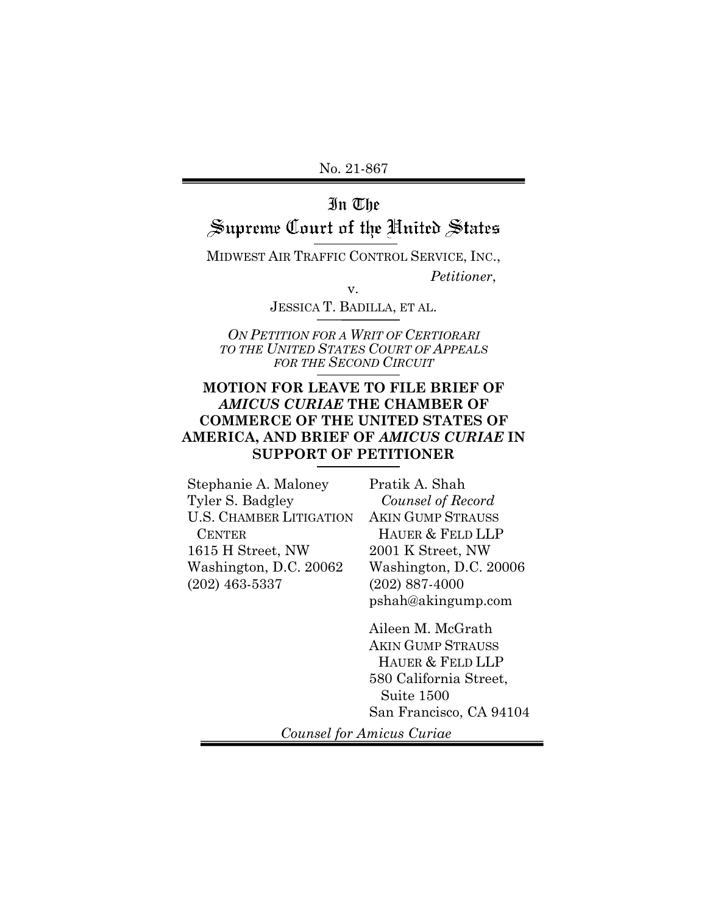## In The

# Supreme Court of the United States

MIDWEST AIR TRAFFIC CONTROL SERVICE, INC.,

*Petitioner*,

v.

JESSICA T. BADILLA, ET AL.

*ON PETITION FOR A WRIT OF CERTIORARI TO THE UNITED STATES COURT OF APPEALS FOR THE SECOND CIRCUIT*

## **MOTION FOR LEAVE TO FILE BRIEF OF**  *AMICUS CURIAE* **THE CHAMBER OF COMMERCE OF THE UNITED STATES OF AMERICA, AND BRIEF OF** *AMICUS CURIAE* **IN SUPPORT OF PETITIONER**

Stephanie A. Maloney Tyler S. Badgley U.S. CHAMBER LITIGATION **CENTER** 1615 H Street, NW Washington, D.C. 20062 (202) 463-5337

Pratik A. Shah  *Counsel of Record*  AKIN GUMP STRAUSS HAUER & FELD LLP 2001 K Street, NW Washington, D.C. 20006 (202) 887-4000 pshah@akingump.com

Aileen M. McGrath AKIN GUMP STRAUSS HAUER & FELD LLP 580 California Street, Suite 1500 San Francisco, CA 94104

*Counsel for Amicus Curiae*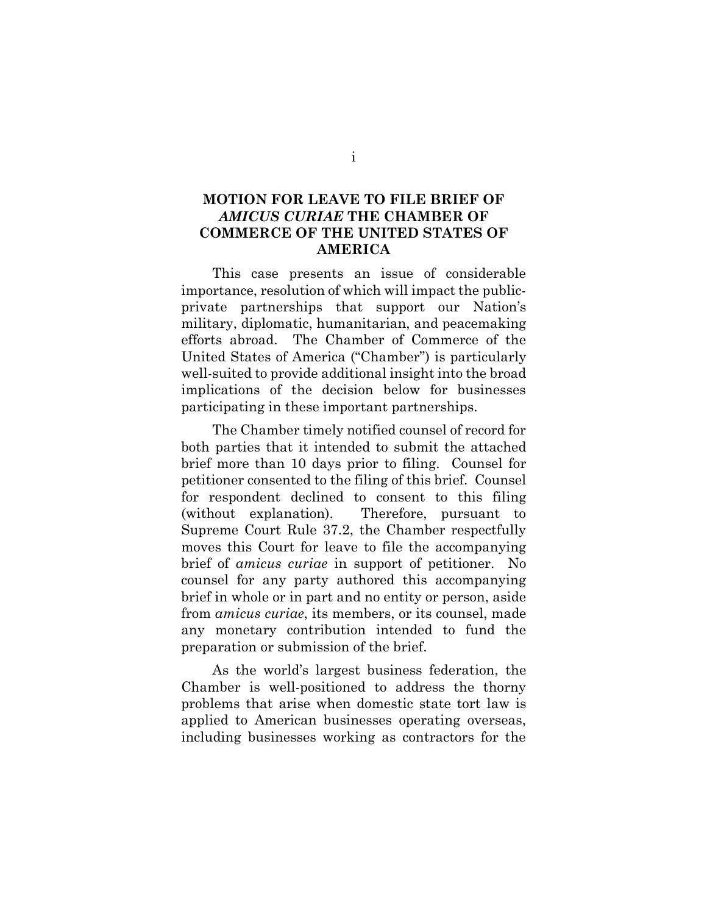## **MOTION FOR LEAVE TO FILE BRIEF OF**  *AMICUS CURIAE* **THE CHAMBER OF COMMERCE OF THE UNITED STATES OF AMERICA**

This case presents an issue of considerable importance, resolution of which will impact the publicprivate partnerships that support our Nation's military, diplomatic, humanitarian, and peacemaking efforts abroad. The Chamber of Commerce of the United States of America ("Chamber") is particularly well-suited to provide additional insight into the broad implications of the decision below for businesses participating in these important partnerships.

The Chamber timely notified counsel of record for both parties that it intended to submit the attached brief more than 10 days prior to filing. Counsel for petitioner consented to the filing of this brief. Counsel for respondent declined to consent to this filing (without explanation). Therefore, pursuant to Supreme Court Rule 37.2, the Chamber respectfully moves this Court for leave to file the accompanying brief of *amicus curiae* in support of petitioner. No counsel for any party authored this accompanying brief in whole or in part and no entity or person, aside from *amicus curiae*, its members, or its counsel, made any monetary contribution intended to fund the preparation or submission of the brief.

As the world's largest business federation, the Chamber is well-positioned to address the thorny problems that arise when domestic state tort law is applied to American businesses operating overseas, including businesses working as contractors for the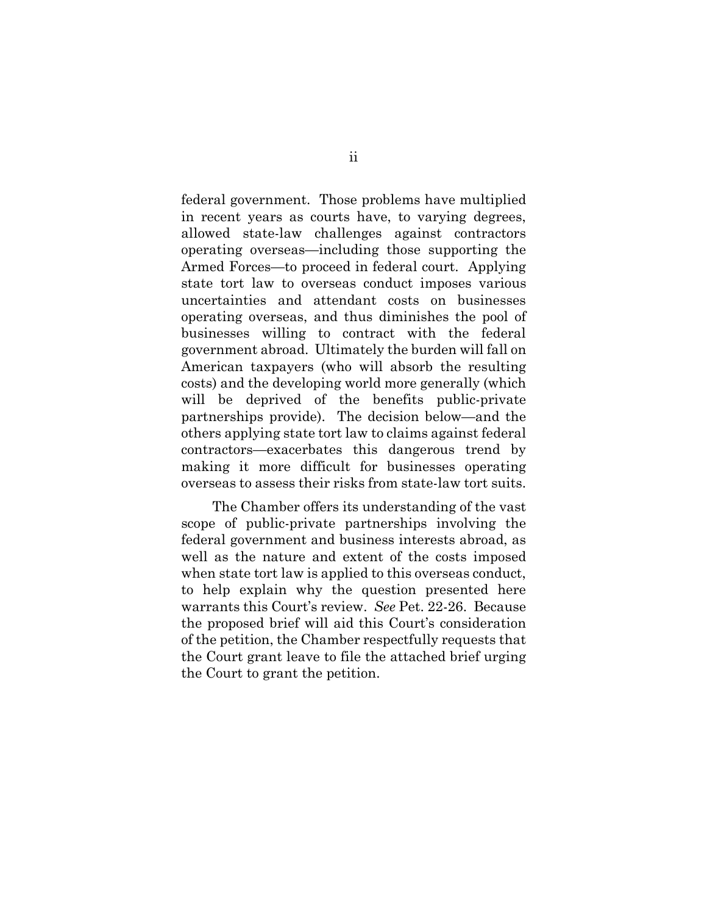federal government. Those problems have multiplied in recent years as courts have, to varying degrees, allowed state-law challenges against contractors operating overseas—including those supporting the Armed Forces—to proceed in federal court. Applying state tort law to overseas conduct imposes various uncertainties and attendant costs on businesses operating overseas, and thus diminishes the pool of businesses willing to contract with the federal government abroad. Ultimately the burden will fall on American taxpayers (who will absorb the resulting costs) and the developing world more generally (which will be deprived of the benefits public-private partnerships provide). The decision below—and the others applying state tort law to claims against federal contractors—exacerbates this dangerous trend by making it more difficult for businesses operating overseas to assess their risks from state-law tort suits.

The Chamber offers its understanding of the vast scope of public-private partnerships involving the federal government and business interests abroad, as well as the nature and extent of the costs imposed when state tort law is applied to this overseas conduct, to help explain why the question presented here warrants this Court's review. *See* Pet. 22-26. Because the proposed brief will aid this Court's consideration of the petition, the Chamber respectfully requests that the Court grant leave to file the attached brief urging the Court to grant the petition.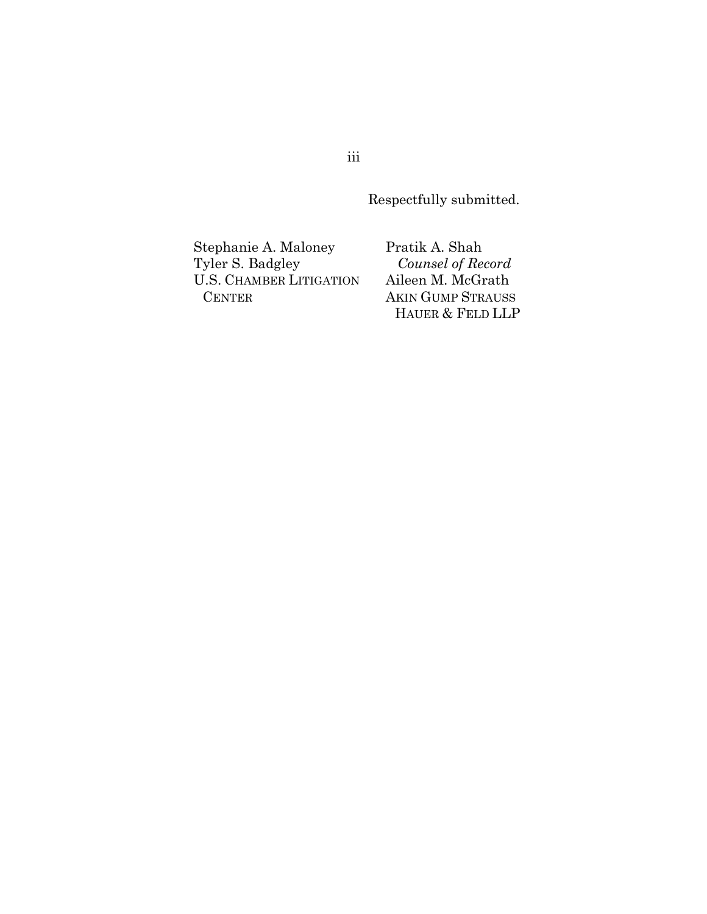Respectfully submitted.

Stephanie A. Maloney Tyler S. Badgley U.S. CHAMBER LITIGATION CENTER

Pratik A. Shah  *Counsel of Record* Aileen M. McGrath AKIN GUMP STRAUSS HAUER & FELD LLP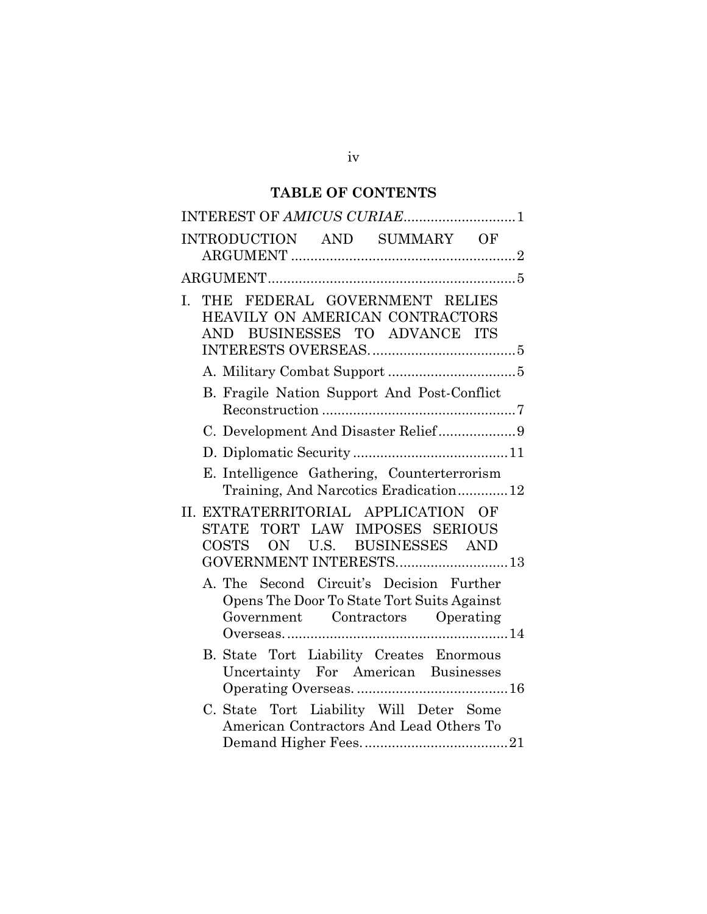## **TABLE OF CONTENTS**

|    | INTEREST OF AMICUS CURIAE1                                                                                                             |
|----|----------------------------------------------------------------------------------------------------------------------------------------|
|    | INTRODUCTION AND SUMMARY OF                                                                                                            |
|    |                                                                                                                                        |
| I. | THE FEDERAL GOVERNMENT RELIES<br>HEAVILY ON AMERICAN CONTRACTORS<br>BUSINESSES TO ADVANCE ITS<br>AND.                                  |
|    |                                                                                                                                        |
|    | B. Fragile Nation Support And Post-Conflict                                                                                            |
|    | C. Development And Disaster Relief9                                                                                                    |
|    |                                                                                                                                        |
|    | E. Intelligence Gathering, Counterterrorism<br>Training, And Narcotics Eradication12                                                   |
|    | II. EXTRATERRITORIAL APPLICATION OF<br>TORT LAW IMPOSES SERIOUS<br>STATE<br>COSTS<br>ON U.S. BUSINESSES AND<br>GOVERNMENT INTERESTS 13 |
|    | A. The Second Circuit's Decision Further<br>Opens The Door To State Tort Suits Against<br>Government Contractors Operating             |
|    | B. State Tort Liability Creates Enormous<br>Uncertainty For American Businesses                                                        |
|    | C. State Tort Liability Will Deter Some<br>American Contractors And Lead Others To                                                     |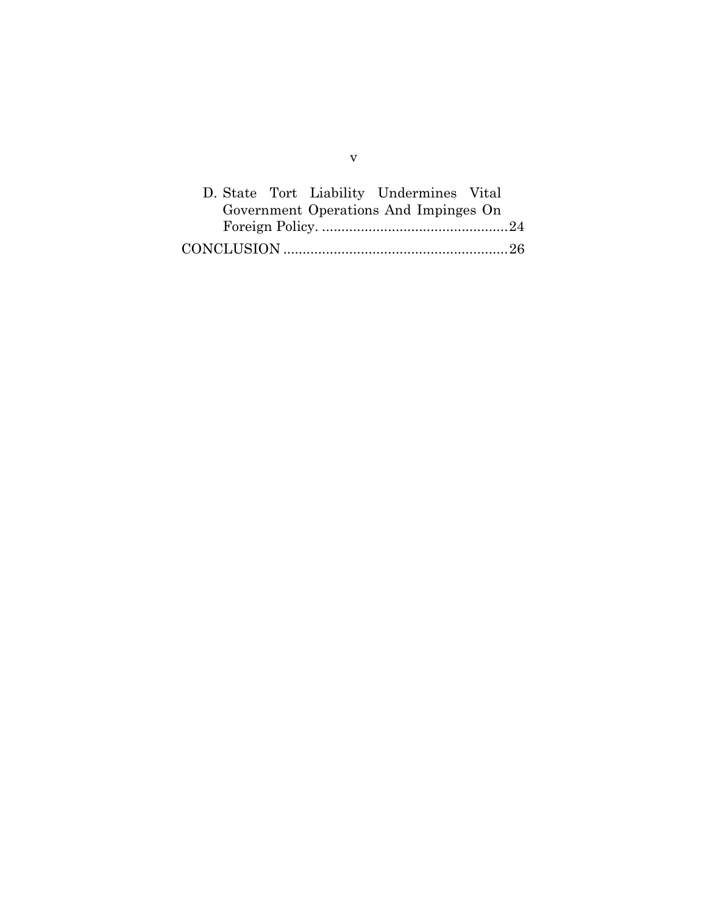|  | D. State Tort Liability Undermines Vital |  |
|--|------------------------------------------|--|
|  | Government Operations And Impinges On    |  |
|  |                                          |  |
|  |                                          |  |

v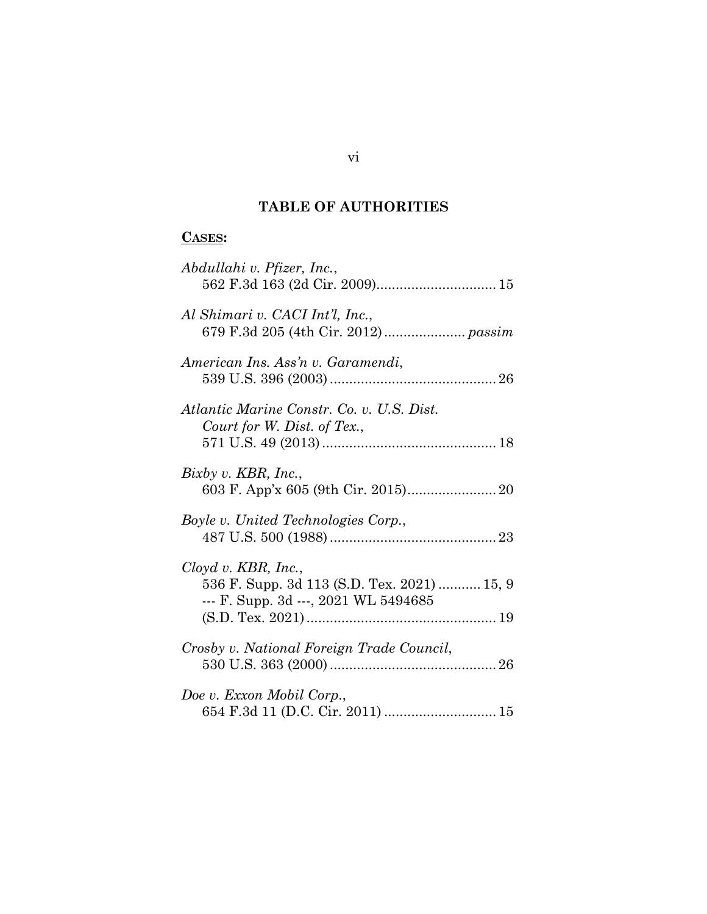## **TABLE OF AUTHORITIES**

## **CASES:**

| Abdullahi v. Pfizer, Inc.,                                                                                      |
|-----------------------------------------------------------------------------------------------------------------|
| Al Shimari v. CACI Int'l, Inc.,                                                                                 |
| American Ins. Ass'n v. Garamendi,                                                                               |
| Atlantic Marine Constr. Co. v. U.S. Dist.<br>Court for W. Dist. of Tex.,                                        |
| Bixby v. KBR, Inc.,                                                                                             |
| Boyle v. United Technologies Corp.,                                                                             |
| $Cloyd$ v. $KBR$ , Inc.,<br>536 F. Supp. 3d 113 (S.D. Tex. 2021)  15, 9<br>--- F. Supp. 3d ---, 2021 WL 5494685 |
| Crosby v. National Foreign Trade Council,                                                                       |
| Doe v. Exxon Mobil Corp.,                                                                                       |

vi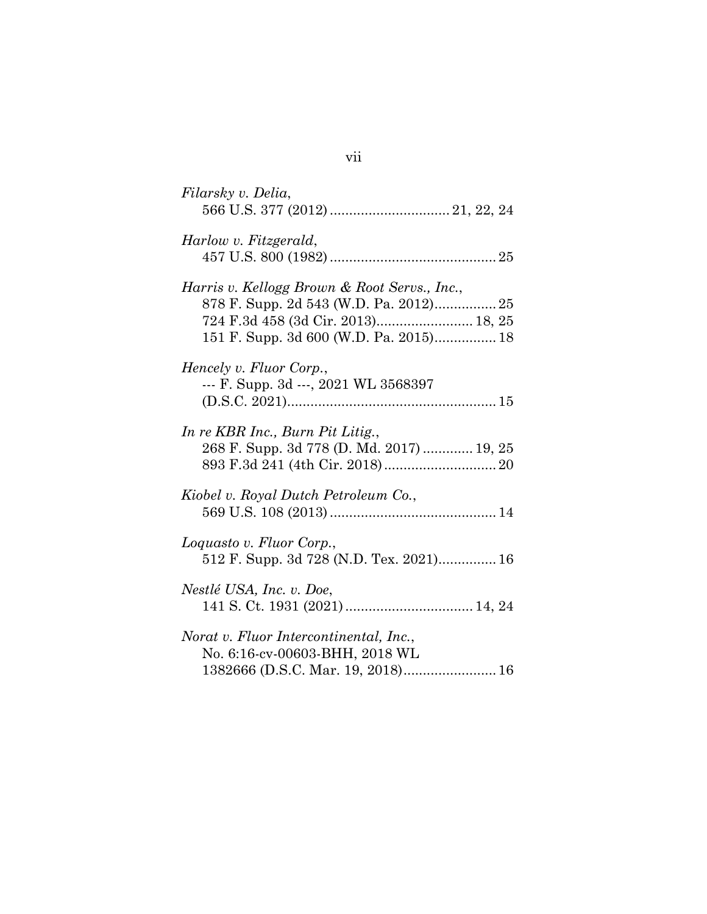| Filarsky v. Delia,                                                                                                                                                     |
|------------------------------------------------------------------------------------------------------------------------------------------------------------------------|
| Harlow v. Fitzgerald,                                                                                                                                                  |
| Harris v. Kellogg Brown & Root Servs., Inc.,<br>878 F. Supp. 2d 543 (W.D. Pa. 2012) 25<br>724 F.3d 458 (3d Cir. 2013) 18, 25<br>151 F. Supp. 3d 600 (W.D. Pa. 2015) 18 |
| Hencely v. Fluor Corp.,<br>--- F. Supp. 3d ---, 2021 WL 3568397                                                                                                        |
| In re KBR Inc., Burn Pit Litig.,<br>268 F. Supp. 3d 778 (D. Md. 2017)  19, 25                                                                                          |
| Kiobel v. Royal Dutch Petroleum Co.,                                                                                                                                   |
| Loquasto v. Fluor Corp.,<br>512 F. Supp. 3d 728 (N.D. Tex. 2021) 16                                                                                                    |
| Nestlé USA, Inc. v. Doe,                                                                                                                                               |
| Norat v. Fluor Intercontinental, Inc.,<br>No. 6:16-cv-00603-BHH, 2018 WL<br>1382666 (D.S.C. Mar. 19, 2018) 16                                                          |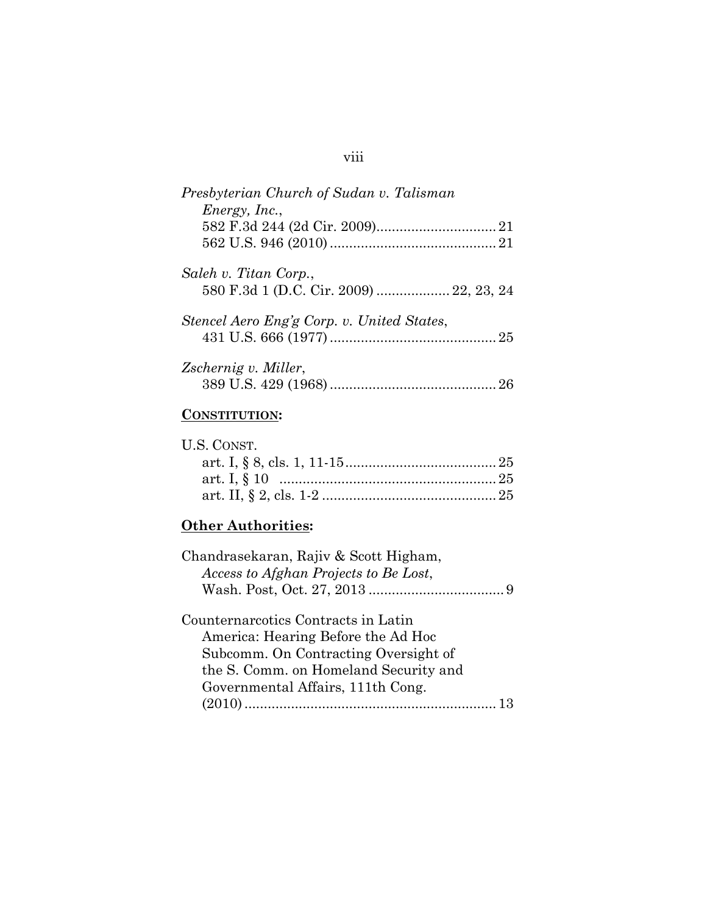## viii

| Presbyterian Church of Sudan v. Talisman                         |
|------------------------------------------------------------------|
| <i>Energy, Inc.,</i>                                             |
|                                                                  |
|                                                                  |
| Saleh v. Titan Corp.,<br>580 F.3d 1 (D.C. Cir. 2009)  22, 23, 24 |
| Stencel Aero Eng'g Corp. v. United States,                       |
|                                                                  |
| Zschernig v. Miller,                                             |
|                                                                  |

## **CONSTITUTION:**

| U.S. CONST. |  |
|-------------|--|
|             |  |
|             |  |
|             |  |

## **Other Authorities:**

| Chandrasekaran, Rajiv & Scott Higham, |  |
|---------------------------------------|--|
| Access to Afghan Projects to Be Lost, |  |
|                                       |  |
| Counternarcotics Contracts in Latin   |  |
| America: Hearing Before the Ad Hoc    |  |
| Subcomm. On Contracting Oversight of  |  |
| the S. Comm. on Homeland Security and |  |
| Governmental Affairs, 111th Cong.     |  |
|                                       |  |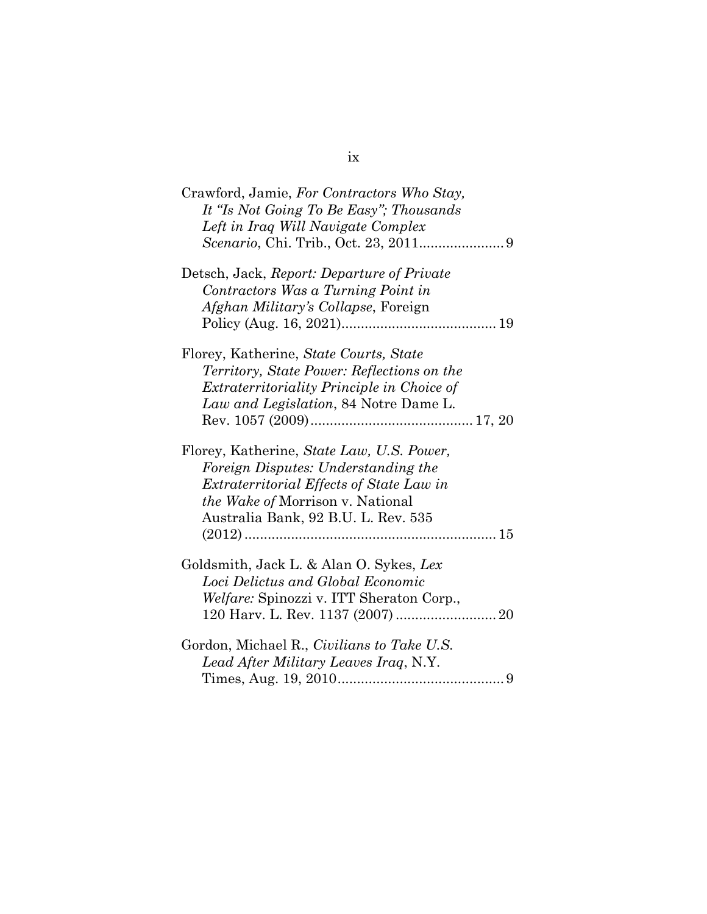| Crawford, Jamie, For Contractors Who Stay,<br>It "Is Not Going To Be Easy"; Thousands |
|---------------------------------------------------------------------------------------|
| Left in Iraq Will Navigate Complex                                                    |
|                                                                                       |
| Detsch, Jack, Report: Departure of Private                                            |
| Contractors Was a Turning Point in                                                    |
| <i>Afghan Military's Collapse</i> , Foreign                                           |
|                                                                                       |
| Florey, Katherine, State Courts, State                                                |
| <i>Territory, State Power: Reflections on the</i>                                     |
| <i>Extraterritoriality Principle in Choice of</i>                                     |
| Law and Legislation, 84 Notre Dame L.                                                 |
|                                                                                       |
| Florey, Katherine, State Law, U.S. Power,                                             |
| Foreign Disputes: Understanding the                                                   |
| <i>Extraterritorial Effects of State Law in</i>                                       |
| <i>the Wake of Morrison v. National</i>                                               |
| Australia Bank, 92 B.U. L. Rev. 535                                                   |
|                                                                                       |
|                                                                                       |
| Goldsmith, Jack L. & Alan O. Sykes, Lex                                               |
| Loci Delictus and Global Economic                                                     |
| <i>Welfare:</i> Spinozzi v. ITT Sheraton Corp.,                                       |
|                                                                                       |
| Gordon, Michael R., Civilians to Take U.S.                                            |
| Lead After Military Leaves Iraq, N.Y.                                                 |
|                                                                                       |

## ix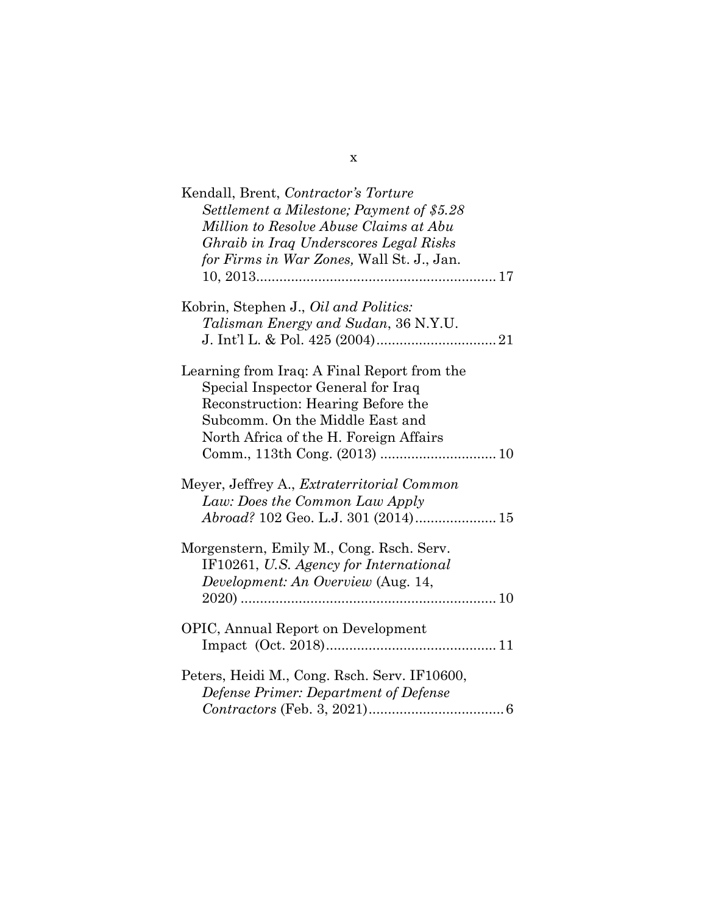| Kendall, Brent, Contractor's Torture<br>Settlement a Milestone; Payment of \$5.28<br>Million to Resolve Abuse Claims at Abu<br>Ghraib in Iraq Underscores Legal Risks<br>for Firms in War Zones, Wall St. J., Jan. |
|--------------------------------------------------------------------------------------------------------------------------------------------------------------------------------------------------------------------|
| Kobrin, Stephen J., <i>Oil and Politics:</i><br>Talisman Energy and Sudan, 36 N.Y.U.                                                                                                                               |
| Learning from Iraq: A Final Report from the<br>Special Inspector General for Iraq<br>Reconstruction: Hearing Before the<br>Subcomm. On the Middle East and<br>North Africa of the H. Foreign Affairs               |
| Meyer, Jeffrey A., <i>Extraterritorial Common</i><br>Law: Does the Common Law Apply                                                                                                                                |
| Morgenstern, Emily M., Cong. Rsch. Serv.<br>IF10261, U.S. Agency for International<br>Development: An Overview (Aug. 14,                                                                                           |
| <b>OPIC, Annual Report on Development</b>                                                                                                                                                                          |
| Peters, Heidi M., Cong. Rsch. Serv. IF10600,<br>Defense Primer: Department of Defense                                                                                                                              |

x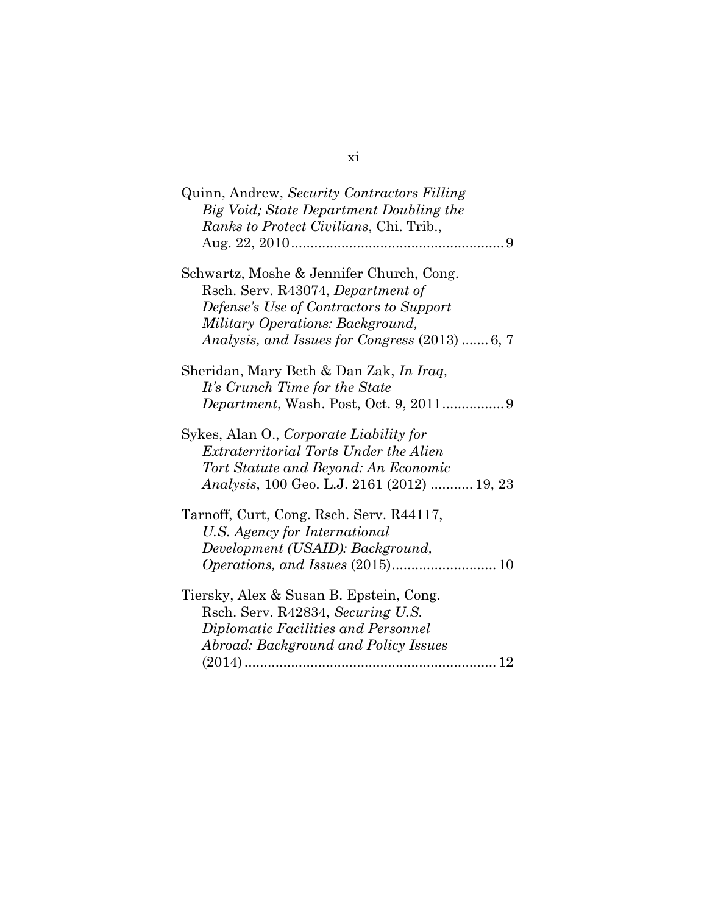| Quinn, Andrew, Security Contractors Filling         |
|-----------------------------------------------------|
| Big Void; State Department Doubling the             |
| Ranks to Protect Civilians, Chi. Trib.,             |
|                                                     |
|                                                     |
| Schwartz, Moshe & Jennifer Church, Cong.            |
| Rsch. Serv. R43074, Department of                   |
| Defense's Use of Contractors to Support             |
| Military Operations: Background,                    |
|                                                     |
| Analysis, and Issues for Congress (2013)  6, 7      |
|                                                     |
| Sheridan, Mary Beth & Dan Zak, In Iraq,             |
| It's Crunch Time for the State                      |
|                                                     |
|                                                     |
| Sykes, Alan O., Corporate Liability for             |
| Extraterritorial Torts Under the Alien              |
| Tort Statute and Beyond: An Economic                |
| <i>Analysis</i> , 100 Geo. L.J. 2161 (2012)  19, 23 |
|                                                     |
| Tarnoff, Curt, Cong. Rsch. Serv. R44117,            |
| U.S. Agency for International                       |
| Development (USAID): Background,                    |
|                                                     |
|                                                     |
| Tiersky, Alex & Susan B. Epstein, Cong.             |
| Rsch. Serv. R42834, Securing U.S.                   |
| Diplomatic Facilities and Personnel                 |
| Abroad: Background and Policy Issues                |
| 12                                                  |
|                                                     |

## xi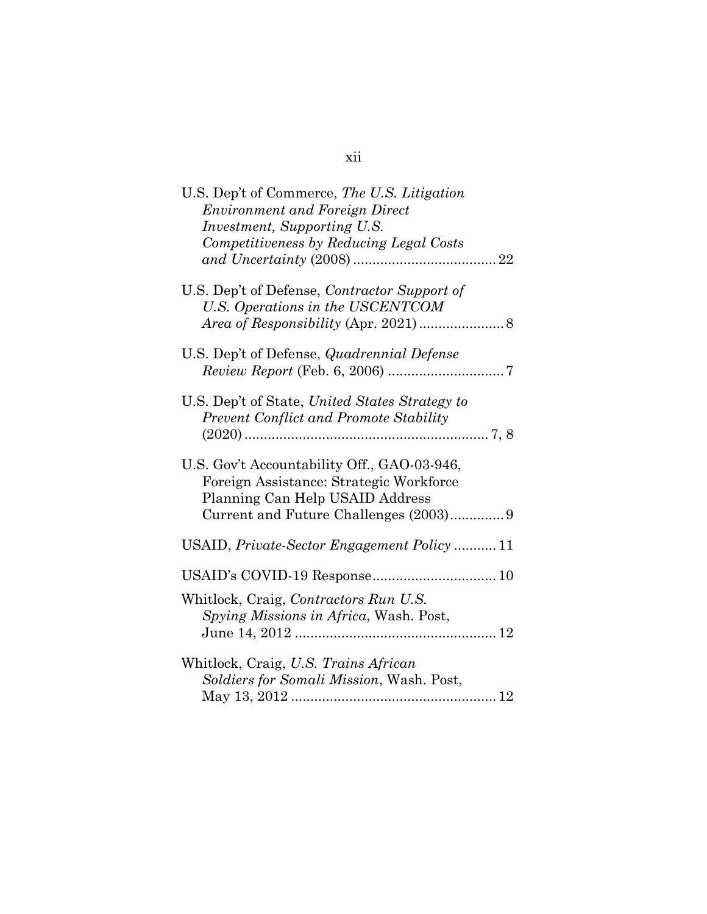| U.S. Dep't of Commerce, The U.S. Litigation<br><b>Environment and Foreign Direct</b><br><i>Investment, Supporting U.S.</i><br>Competitiveness by Reducing Legal Costs |
|-----------------------------------------------------------------------------------------------------------------------------------------------------------------------|
| U.S. Dep't of Defense, Contractor Support of<br>U.S. Operations in the USCENTCOM                                                                                      |
| U.S. Dep't of Defense, <i>Quadrennial Defense</i>                                                                                                                     |
| U.S. Dep't of State, United States Strategy to<br><b>Prevent Conflict and Promote Stability</b>                                                                       |
| U.S. Gov't Accountability Off., GAO-03-946,<br>Foreign Assistance: Strategic Workforce<br>Planning Can Help USAID Address                                             |
| USAID, Private-Sector Engagement Policy  11                                                                                                                           |
|                                                                                                                                                                       |
| Whitlock, Craig, Contractors Run U.S.<br>Spying Missions in Africa, Wash. Post,                                                                                       |
| Whitlock, Craig, U.S. Trains African<br>Soldiers for Somali Mission, Wash. Post,                                                                                      |

## xii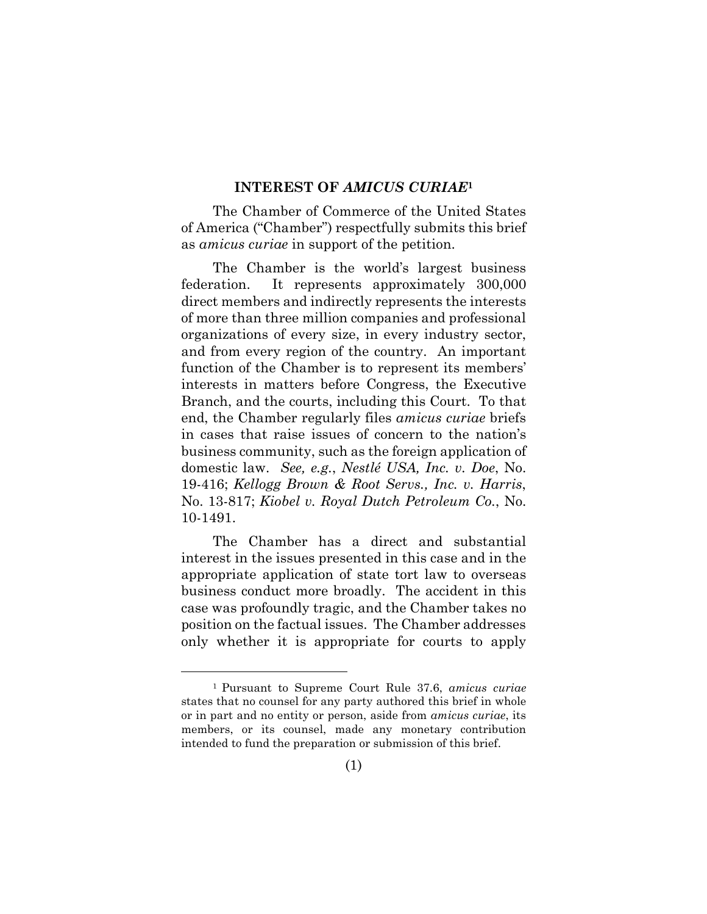#### **INTEREST OF** *AMICUS CURIAE***<sup>1</sup>**

The Chamber of Commerce of the United States of America ("Chamber") respectfully submits this brief as *amicus curiae* in support of the petition.

The Chamber is the world's largest business federation. It represents approximately 300,000 direct members and indirectly represents the interests of more than three million companies and professional organizations of every size, in every industry sector, and from every region of the country. An important function of the Chamber is to represent its members' interests in matters before Congress, the Executive Branch, and the courts, including this Court. To that end, the Chamber regularly files *amicus curiae* briefs in cases that raise issues of concern to the nation's business community, such as the foreign application of domestic law. *See, e.g.*, *Nestlé USA, Inc. v. Doe*, No. 19-416; *Kellogg Brown & Root Servs., Inc. v. Harris*, No. 13-817; *Kiobel v. Royal Dutch Petroleum Co.*, No. 10-1491.

The Chamber has a direct and substantial interest in the issues presented in this case and in the appropriate application of state tort law to overseas business conduct more broadly. The accident in this case was profoundly tragic, and the Chamber takes no position on the factual issues. The Chamber addresses only whether it is appropriate for courts to apply

<sup>1</sup> Pursuant to Supreme Court Rule 37.6, *amicus curiae* states that no counsel for any party authored this brief in whole or in part and no entity or person, aside from *amicus curiae*, its members, or its counsel, made any monetary contribution intended to fund the preparation or submission of this brief.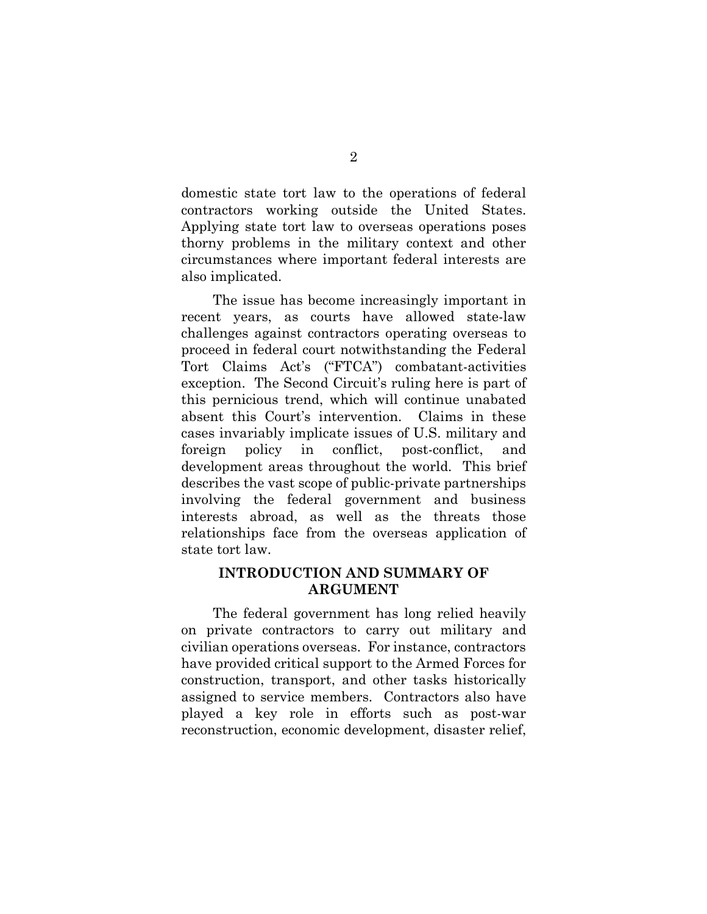domestic state tort law to the operations of federal contractors working outside the United States. Applying state tort law to overseas operations poses thorny problems in the military context and other circumstances where important federal interests are also implicated.

The issue has become increasingly important in recent years, as courts have allowed state-law challenges against contractors operating overseas to proceed in federal court notwithstanding the Federal Tort Claims Act's ("FTCA") combatant-activities exception. The Second Circuit's ruling here is part of this pernicious trend, which will continue unabated absent this Court's intervention. Claims in these cases invariably implicate issues of U.S. military and foreign policy in conflict, post-conflict, and development areas throughout the world. This brief describes the vast scope of public-private partnerships involving the federal government and business interests abroad, as well as the threats those relationships face from the overseas application of state tort law.

## **INTRODUCTION AND SUMMARY OF ARGUMENT**

The federal government has long relied heavily on private contractors to carry out military and civilian operations overseas. For instance, contractors have provided critical support to the Armed Forces for construction, transport, and other tasks historically assigned to service members. Contractors also have played a key role in efforts such as post-war reconstruction, economic development, disaster relief,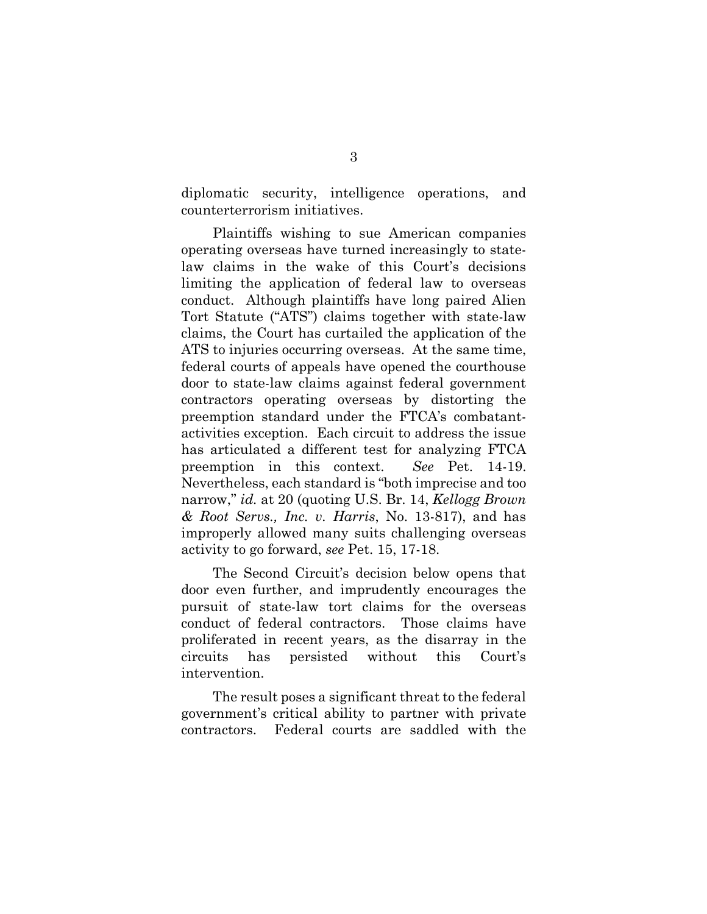diplomatic security, intelligence operations, and counterterrorism initiatives.

Plaintiffs wishing to sue American companies operating overseas have turned increasingly to statelaw claims in the wake of this Court's decisions limiting the application of federal law to overseas conduct. Although plaintiffs have long paired Alien Tort Statute ("ATS") claims together with state-law claims, the Court has curtailed the application of the ATS to injuries occurring overseas. At the same time, federal courts of appeals have opened the courthouse door to state-law claims against federal government contractors operating overseas by distorting the preemption standard under the FTCA's combatantactivities exception. Each circuit to address the issue has articulated a different test for analyzing FTCA preemption in this context. *See* Pet. 14-19. Nevertheless, each standard is "both imprecise and too narrow," *id.* at 20 (quoting U.S. Br. 14, *Kellogg Brown & Root Servs., Inc. v. Harris*, No. 13-817), and has improperly allowed many suits challenging overseas activity to go forward, *see* Pet. 15, 17-18.

The Second Circuit's decision below opens that door even further, and imprudently encourages the pursuit of state-law tort claims for the overseas conduct of federal contractors. Those claims have proliferated in recent years, as the disarray in the circuits has persisted without this Court's intervention.

The result poses a significant threat to the federal government's critical ability to partner with private contractors. Federal courts are saddled with the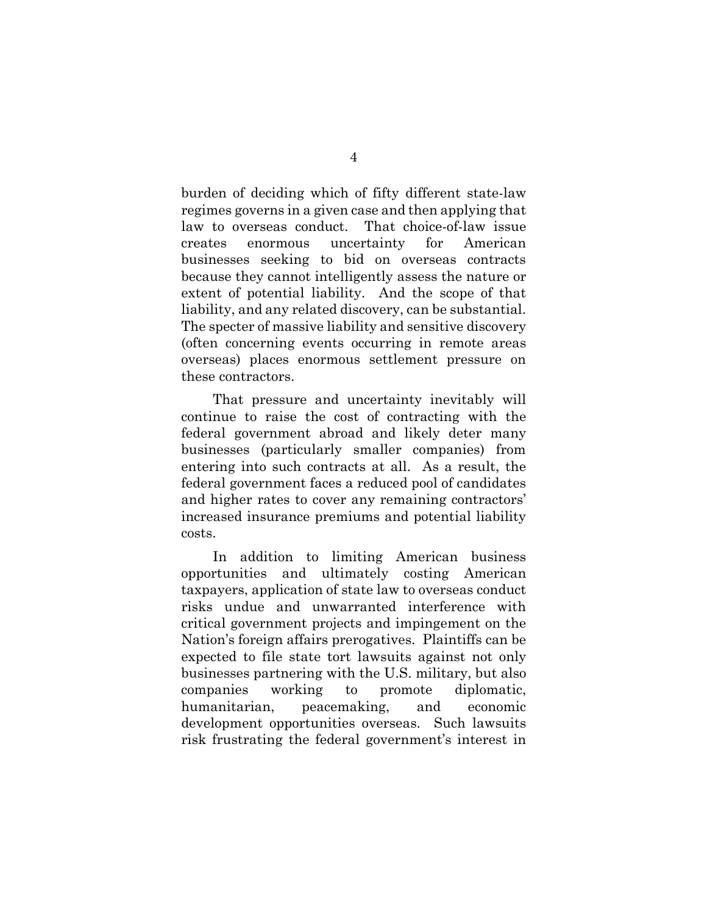burden of deciding which of fifty different state-law regimes governs in a given case and then applying that law to overseas conduct. That choice-of-law issue creates enormous uncertainty for American businesses seeking to bid on overseas contracts because they cannot intelligently assess the nature or extent of potential liability. And the scope of that liability, and any related discovery, can be substantial. The specter of massive liability and sensitive discovery (often concerning events occurring in remote areas overseas) places enormous settlement pressure on these contractors.

That pressure and uncertainty inevitably will continue to raise the cost of contracting with the federal government abroad and likely deter many businesses (particularly smaller companies) from entering into such contracts at all. As a result, the federal government faces a reduced pool of candidates and higher rates to cover any remaining contractors' increased insurance premiums and potential liability costs.

In addition to limiting American business opportunities and ultimately costing American taxpayers, application of state law to overseas conduct risks undue and unwarranted interference with critical government projects and impingement on the Nation's foreign affairs prerogatives. Plaintiffs can be expected to file state tort lawsuits against not only businesses partnering with the U.S. military, but also companies working to promote diplomatic, humanitarian, peacemaking, and economic development opportunities overseas. Such lawsuits risk frustrating the federal government's interest in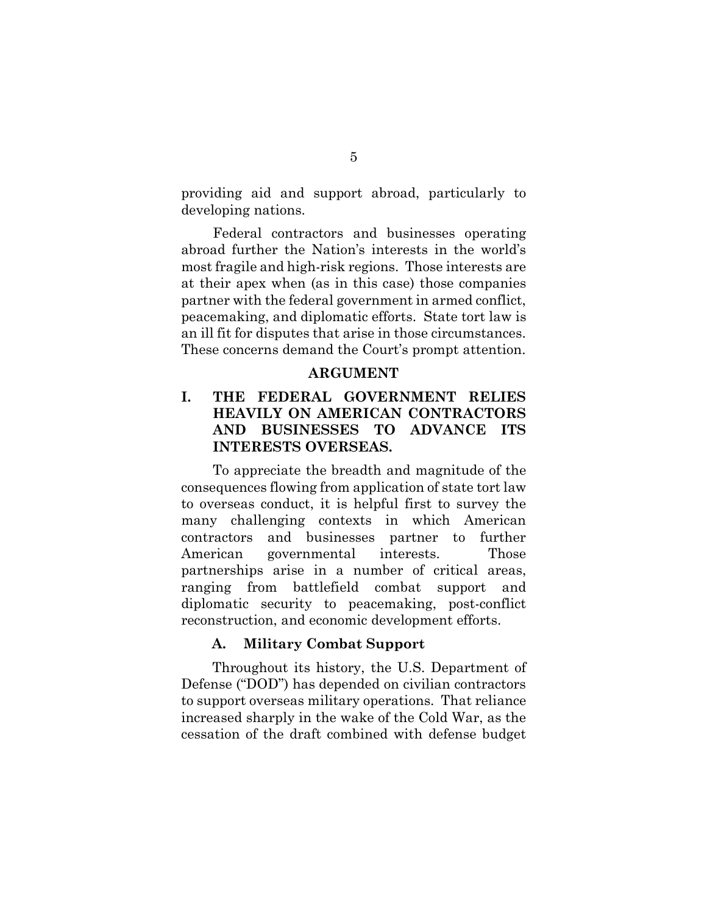providing aid and support abroad, particularly to developing nations.

Federal contractors and businesses operating abroad further the Nation's interests in the world's most fragile and high-risk regions. Those interests are at their apex when (as in this case) those companies partner with the federal government in armed conflict, peacemaking, and diplomatic efforts. State tort law is an ill fit for disputes that arise in those circumstances. These concerns demand the Court's prompt attention.

#### **ARGUMENT**

## **I. THE FEDERAL GOVERNMENT RELIES HEAVILY ON AMERICAN CONTRACTORS AND BUSINESSES TO ADVANCE ITS INTERESTS OVERSEAS.**

To appreciate the breadth and magnitude of the consequences flowing from application of state tort law to overseas conduct, it is helpful first to survey the many challenging contexts in which American contractors and businesses partner to further American governmental interests. Those partnerships arise in a number of critical areas, ranging from battlefield combat support and diplomatic security to peacemaking, post-conflict reconstruction, and economic development efforts.

#### **A. Military Combat Support**

Throughout its history, the U.S. Department of Defense ("DOD") has depended on civilian contractors to support overseas military operations. That reliance increased sharply in the wake of the Cold War, as the cessation of the draft combined with defense budget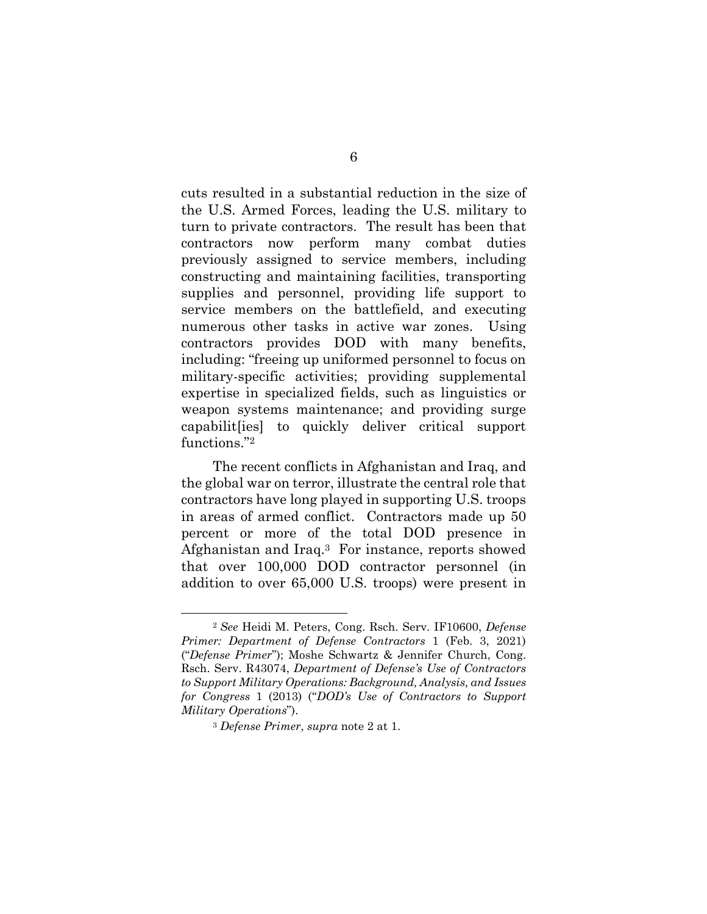cuts resulted in a substantial reduction in the size of the U.S. Armed Forces, leading the U.S. military to turn to private contractors. The result has been that contractors now perform many combat duties previously assigned to service members, including constructing and maintaining facilities, transporting supplies and personnel, providing life support to service members on the battlefield, and executing numerous other tasks in active war zones. Using contractors provides DOD with many benefits, including: "freeing up uniformed personnel to focus on military-specific activities; providing supplemental expertise in specialized fields, such as linguistics or weapon systems maintenance; and providing surge capabilit[ies] to quickly deliver critical support functions."<sup>2</sup>

The recent conflicts in Afghanistan and Iraq, and the global war on terror, illustrate the central role that contractors have long played in supporting U.S. troops in areas of armed conflict. Contractors made up 50 percent or more of the total DOD presence in Afghanistan and Iraq.3 For instance, reports showed that over 100,000 DOD contractor personnel (in addition to over 65,000 U.S. troops) were present in

<sup>2</sup> *See* Heidi M. Peters, Cong. Rsch. Serv. IF10600, *Defense Primer: Department of Defense Contractors* 1 (Feb. 3, 2021) ("*Defense Primer*"); Moshe Schwartz & Jennifer Church, Cong. Rsch. Serv. R43074, *Department of Defense's Use of Contractors to Support Military Operations: Background, Analysis, and Issues for Congress* 1 (2013) ("*DOD's Use of Contractors to Support Military Operations*").

<sup>3</sup> *Defense Primer*, *supra* note 2 at 1.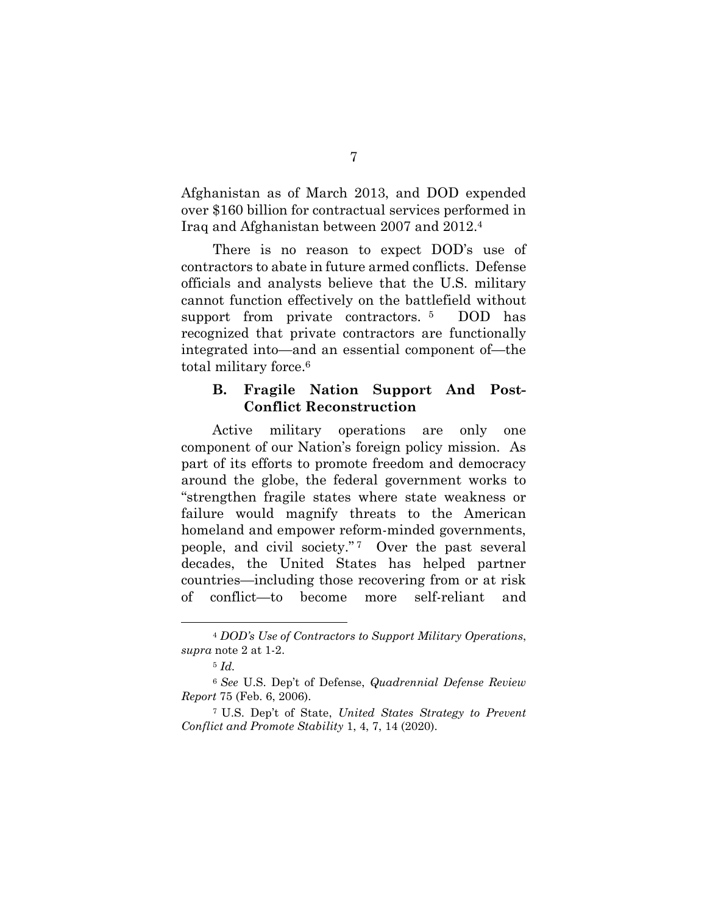Afghanistan as of March 2013, and DOD expended over \$160 billion for contractual services performed in Iraq and Afghanistan between 2007 and 2012.<sup>4</sup>

There is no reason to expect DOD's use of contractors to abate in future armed conflicts. Defense officials and analysts believe that the U.S. military cannot function effectively on the battlefield without support from private contractors.<sup>5</sup> DOD has recognized that private contractors are functionally integrated into—and an essential component of—the total military force.<sup>6</sup>

### **B. Fragile Nation Support And Post-Conflict Reconstruction**

Active military operations are only one component of our Nation's foreign policy mission. As part of its efforts to promote freedom and democracy around the globe, the federal government works to "strengthen fragile states where state weakness or failure would magnify threats to the American homeland and empower reform-minded governments, people, and civil society." <sup>7</sup> Over the past several decades, the United States has helped partner countries—including those recovering from or at risk of conflict—to become more self-reliant and

<sup>4</sup> *DOD's Use of Contractors to Support Military Operations*, *supra* note 2 at 1-2.

<sup>5</sup> *Id.*

<sup>6</sup> *See* U.S. Dep't of Defense, *Quadrennial Defense Review Report* 75 (Feb. 6, 2006).

<sup>7</sup> U.S. Dep't of State, *United States Strategy to Prevent Conflict and Promote Stability* 1, 4, 7, 14 (2020).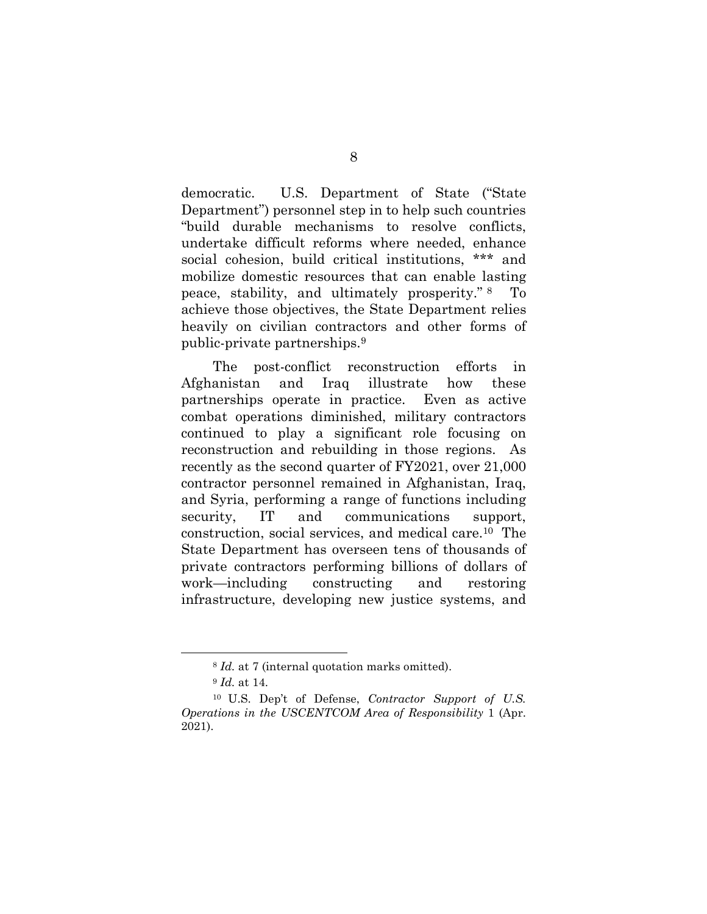democratic. U.S. Department of State ("State Department") personnel step in to help such countries "build durable mechanisms to resolve conflicts, undertake difficult reforms where needed, enhance social cohesion, build critical institutions, \*\*\* and mobilize domestic resources that can enable lasting peace, stability, and ultimately prosperity." <sup>8</sup> To achieve those objectives, the State Department relies heavily on civilian contractors and other forms of public-private partnerships.<sup>9</sup>

The post-conflict reconstruction efforts in Afghanistan and Iraq illustrate how these partnerships operate in practice. Even as active combat operations diminished, military contractors continued to play a significant role focusing on reconstruction and rebuilding in those regions. As recently as the second quarter of FY2021, over 21,000 contractor personnel remained in Afghanistan, Iraq, and Syria, performing a range of functions including security, IT and communications support, construction, social services, and medical care.10 The State Department has overseen tens of thousands of private contractors performing billions of dollars of work—including constructing and restoring infrastructure, developing new justice systems, and

<sup>8</sup> *Id.* at 7 (internal quotation marks omitted).

<sup>9</sup> *Id.* at 14.

<sup>10</sup> U.S. Dep't of Defense, *Contractor Support of U.S. Operations in the USCENTCOM Area of Responsibility* 1 (Apr. 2021).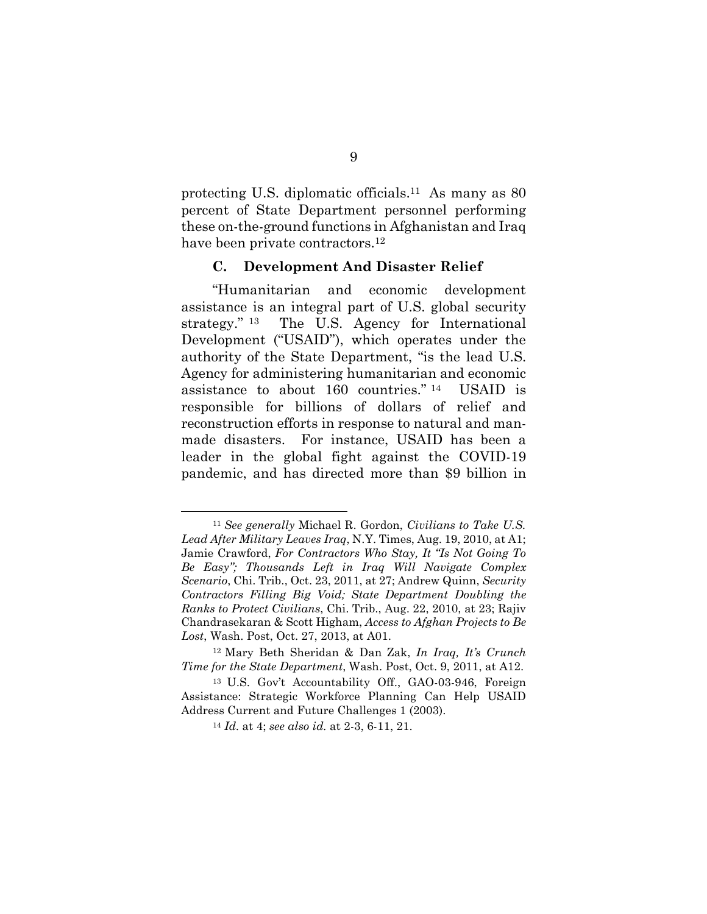protecting U.S. diplomatic officials.11 As many as 80 percent of State Department personnel performing these on-the-ground functions in Afghanistan and Iraq have been private contractors.<sup>12</sup>

#### **C. Development And Disaster Relief**

"Humanitarian and economic development assistance is an integral part of U.S. global security strategy." <sup>13</sup> The U.S. Agency for International Development ("USAID"), which operates under the authority of the State Department, "is the lead U.S. Agency for administering humanitarian and economic assistance to about 160 countries." <sup>14</sup> USAID is responsible for billions of dollars of relief and reconstruction efforts in response to natural and manmade disasters. For instance, USAID has been a leader in the global fight against the COVID-19 pandemic, and has directed more than \$9 billion in

<sup>11</sup> *See generally* Michael R. Gordon, *Civilians to Take U.S. Lead After Military Leaves Iraq*, N.Y. Times, Aug. 19, 2010, at A1; Jamie Crawford, *For Contractors Who Stay, It "Is Not Going To Be Easy"; Thousands Left in Iraq Will Navigate Complex Scenario*, Chi. Trib., Oct. 23, 2011, at 27; Andrew Quinn, *Security Contractors Filling Big Void; State Department Doubling the Ranks to Protect Civilians*, Chi. Trib., Aug. 22, 2010, at 23; Rajiv Chandrasekaran & Scott Higham, *Access to Afghan Projects to Be Lost*, Wash. Post, Oct. 27, 2013, at A01.

<sup>12</sup> Mary Beth Sheridan & Dan Zak, *In Iraq, It's Crunch Time for the State Department*, Wash. Post, Oct. 9, 2011, at A12.

<sup>13</sup> U.S. Gov't Accountability Off., GAO-03-946, Foreign Assistance: Strategic Workforce Planning Can Help USAID Address Current and Future Challenges 1 (2003).

<sup>14</sup> *Id.* at 4; *see also id.* at 2-3, 6-11, 21.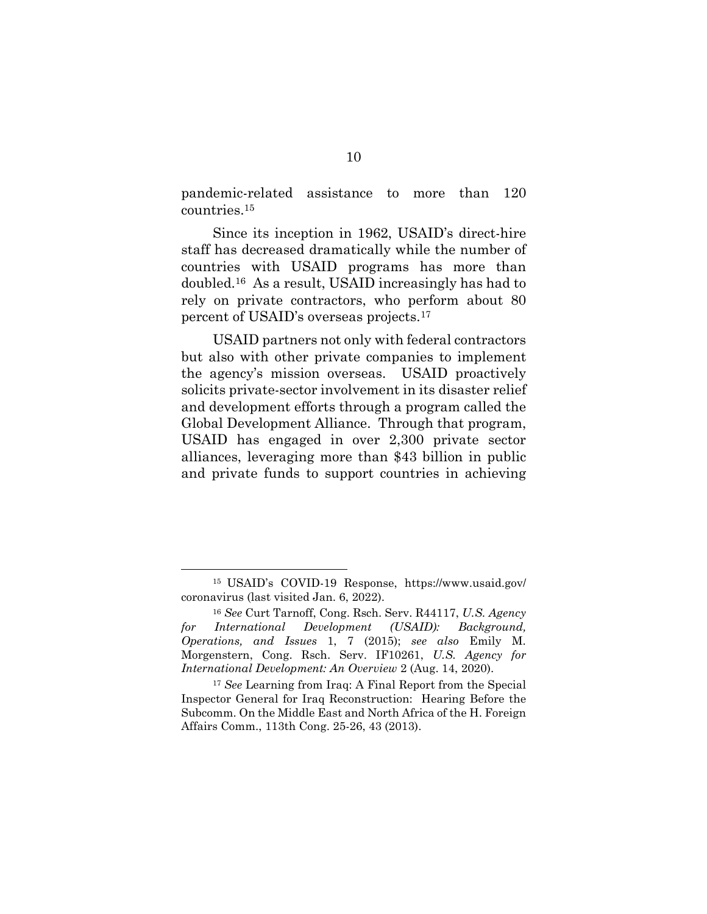pandemic-related assistance to more than 120 countries.<sup>15</sup>

Since its inception in 1962, USAID's direct-hire staff has decreased dramatically while the number of countries with USAID programs has more than doubled.16 As a result, USAID increasingly has had to rely on private contractors, who perform about 80 percent of USAID's overseas projects.<sup>17</sup>

USAID partners not only with federal contractors but also with other private companies to implement the agency's mission overseas. USAID proactively solicits private-sector involvement in its disaster relief and development efforts through a program called the Global Development Alliance. Through that program, USAID has engaged in over 2,300 private sector alliances, leveraging more than \$43 billion in public and private funds to support countries in achieving

<sup>15</sup> USAID's COVID-19 Response, https://www.usaid.gov/ coronavirus (last visited Jan. 6, 2022).

<sup>16</sup> *See* Curt Tarnoff, Cong. Rsch. Serv. R44117, *U.S. Agency for International Development (USAID): Background, Operations, and Issues* 1, 7 (2015); *see also* Emily M. Morgenstern, Cong. Rsch. Serv. IF10261, *U.S. Agency for International Development: An Overview* 2 (Aug. 14, 2020).

<sup>17</sup> *See* Learning from Iraq: A Final Report from the Special Inspector General for Iraq Reconstruction: Hearing Before the Subcomm. On the Middle East and North Africa of the H. Foreign Affairs Comm., 113th Cong. 25-26, 43 (2013).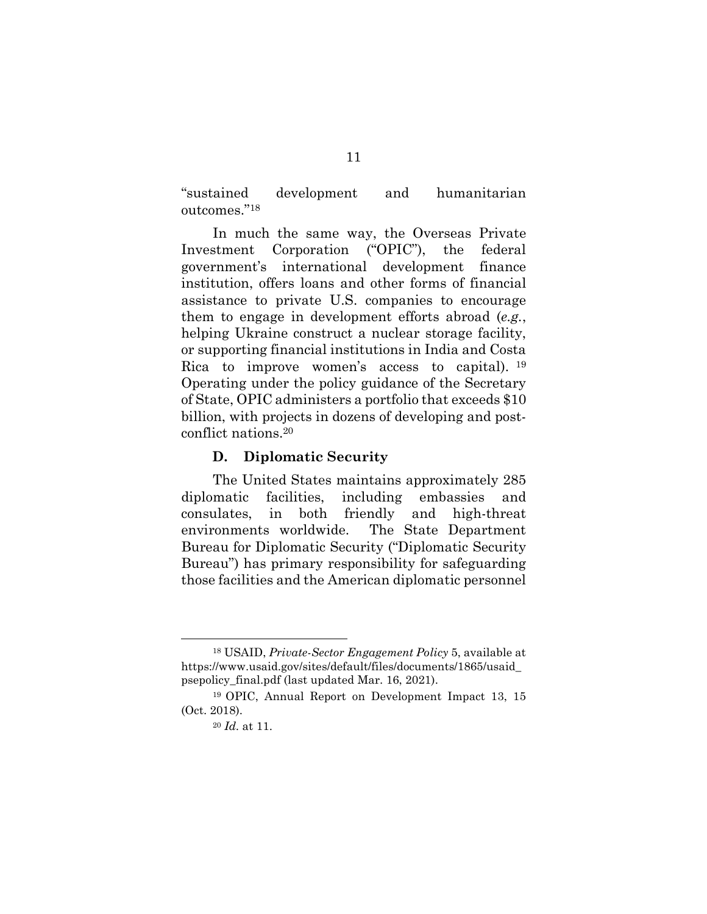"sustained development and humanitarian outcomes."<sup>18</sup>

In much the same way, the Overseas Private Investment Corporation ("OPIC"), the federal government's international development finance institution, offers loans and other forms of financial assistance to private U.S. companies to encourage them to engage in development efforts abroad (*e.g.*, helping Ukraine construct a nuclear storage facility, or supporting financial institutions in India and Costa Rica to improve women's access to capital). <sup>19</sup> Operating under the policy guidance of the Secretary of State, OPIC administers a portfolio that exceeds \$10 billion, with projects in dozens of developing and postconflict nations.<sup>20</sup>

#### **D. Diplomatic Security**

The United States maintains approximately 285 diplomatic facilities, including embassies and consulates, in both friendly and high-threat environments worldwide. The State Department Bureau for Diplomatic Security ("Diplomatic Security Bureau") has primary responsibility for safeguarding those facilities and the American diplomatic personnel

<sup>18</sup> USAID, *Private-Sector Engagement Policy* 5, available at https://www.usaid.gov/sites/default/files/documents/1865/usaid\_ psepolicy\_final.pdf (last updated Mar. 16, 2021).

<sup>19</sup> OPIC, Annual Report on Development Impact 13, 15 (Oct. 2018).

<sup>20</sup> *Id.* at 11.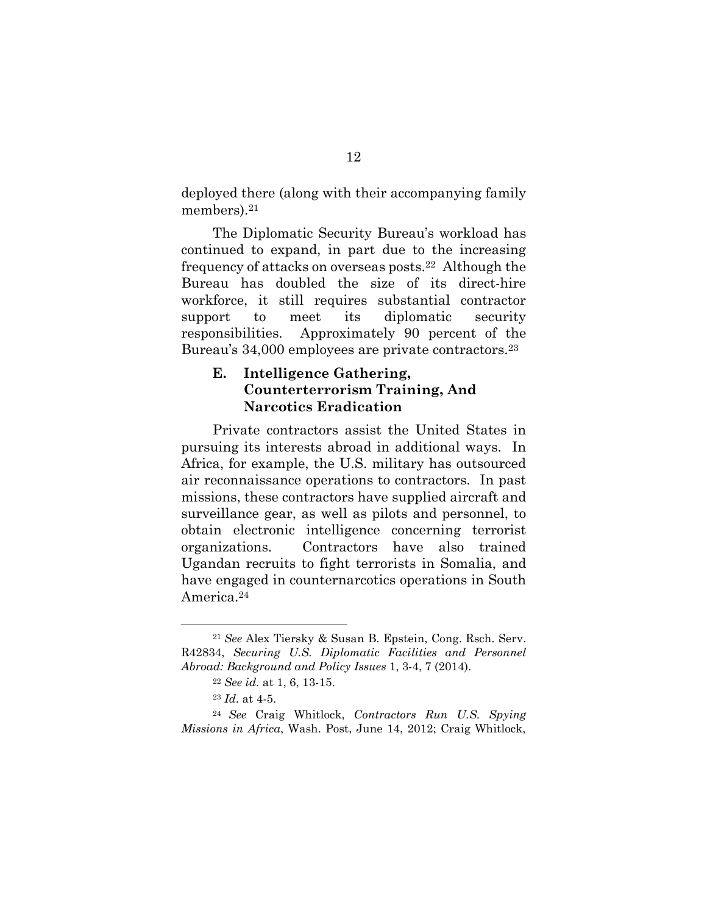deployed there (along with their accompanying family members).<sup>21</sup>

The Diplomatic Security Bureau's workload has continued to expand, in part due to the increasing frequency of attacks on overseas posts.22 Although the Bureau has doubled the size of its direct-hire workforce, it still requires substantial contractor support to meet its diplomatic security responsibilities. Approximately 90 percent of the Bureau's 34,000 employees are private contractors.<sup>23</sup>

## **E. Intelligence Gathering, Counterterrorism Training, And Narcotics Eradication**

Private contractors assist the United States in pursuing its interests abroad in additional ways. In Africa, for example, the U.S. military has outsourced air reconnaissance operations to contractors. In past missions, these contractors have supplied aircraft and surveillance gear, as well as pilots and personnel, to obtain electronic intelligence concerning terrorist organizations. Contractors have also trained Ugandan recruits to fight terrorists in Somalia, and have engaged in counternarcotics operations in South America.<sup>24</sup>

<sup>21</sup> *See* Alex Tiersky & Susan B. Epstein, Cong. Rsch. Serv. R42834, *Securing U.S. Diplomatic Facilities and Personnel Abroad: Background and Policy Issues* 1, 3-4, 7 (2014).

<sup>22</sup> *See id.* at 1, 6, 13-15.

<sup>23</sup> *Id.* at 4-5.

<sup>24</sup> *See* Craig Whitlock, *Contractors Run U.S. Spying Missions in Africa*, Wash. Post, June 14, 2012; Craig Whitlock,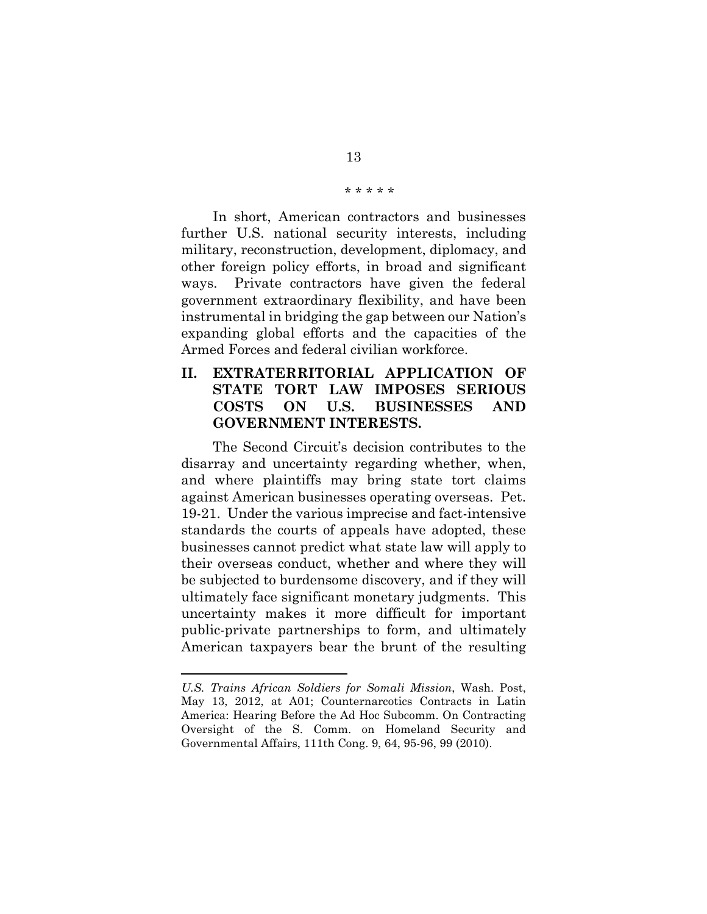#### \* \* \* \* \*

In short, American contractors and businesses further U.S. national security interests, including military, reconstruction, development, diplomacy, and other foreign policy efforts, in broad and significant ways. Private contractors have given the federal government extraordinary flexibility, and have been instrumental in bridging the gap between our Nation's expanding global efforts and the capacities of the Armed Forces and federal civilian workforce.

## **II. EXTRATERRITORIAL APPLICATION OF STATE TORT LAW IMPOSES SERIOUS COSTS ON U.S. BUSINESSES AND GOVERNMENT INTERESTS.**

The Second Circuit's decision contributes to the disarray and uncertainty regarding whether, when, and where plaintiffs may bring state tort claims against American businesses operating overseas. Pet. 19-21. Under the various imprecise and fact-intensive standards the courts of appeals have adopted, these businesses cannot predict what state law will apply to their overseas conduct, whether and where they will be subjected to burdensome discovery, and if they will ultimately face significant monetary judgments. This uncertainty makes it more difficult for important public-private partnerships to form, and ultimately American taxpayers bear the brunt of the resulting

*U.S. Trains African Soldiers for Somali Mission*, Wash. Post, May 13, 2012, at A01; Counternarcotics Contracts in Latin America: Hearing Before the Ad Hoc Subcomm. On Contracting Oversight of the S. Comm. on Homeland Security and Governmental Affairs, 111th Cong. 9, 64, 95-96, 99 (2010).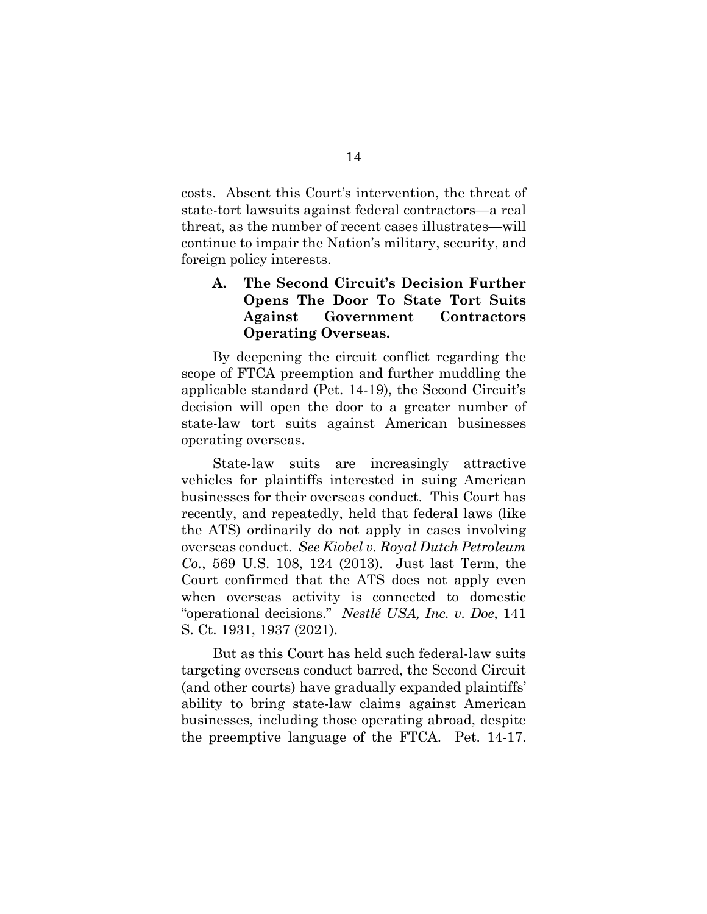costs. Absent this Court's intervention, the threat of state-tort lawsuits against federal contractors—a real threat, as the number of recent cases illustrates—will continue to impair the Nation's military, security, and foreign policy interests.

## **A. The Second Circuit's Decision Further Opens The Door To State Tort Suits Against Government Contractors Operating Overseas.**

By deepening the circuit conflict regarding the scope of FTCA preemption and further muddling the applicable standard (Pet. 14-19), the Second Circuit's decision will open the door to a greater number of state-law tort suits against American businesses operating overseas.

State-law suits are increasingly attractive vehicles for plaintiffs interested in suing American businesses for their overseas conduct. This Court has recently, and repeatedly, held that federal laws (like the ATS) ordinarily do not apply in cases involving overseas conduct. *See Kiobel v. Royal Dutch Petroleum Co.*, 569 U.S. 108, 124 (2013). Just last Term, the Court confirmed that the ATS does not apply even when overseas activity is connected to domestic "operational decisions." *Nestlé USA, Inc. v. Doe*, 141 S. Ct. 1931, 1937 (2021).

But as this Court has held such federal-law suits targeting overseas conduct barred, the Second Circuit (and other courts) have gradually expanded plaintiffs' ability to bring state-law claims against American businesses, including those operating abroad, despite the preemptive language of the FTCA. Pet. 14-17.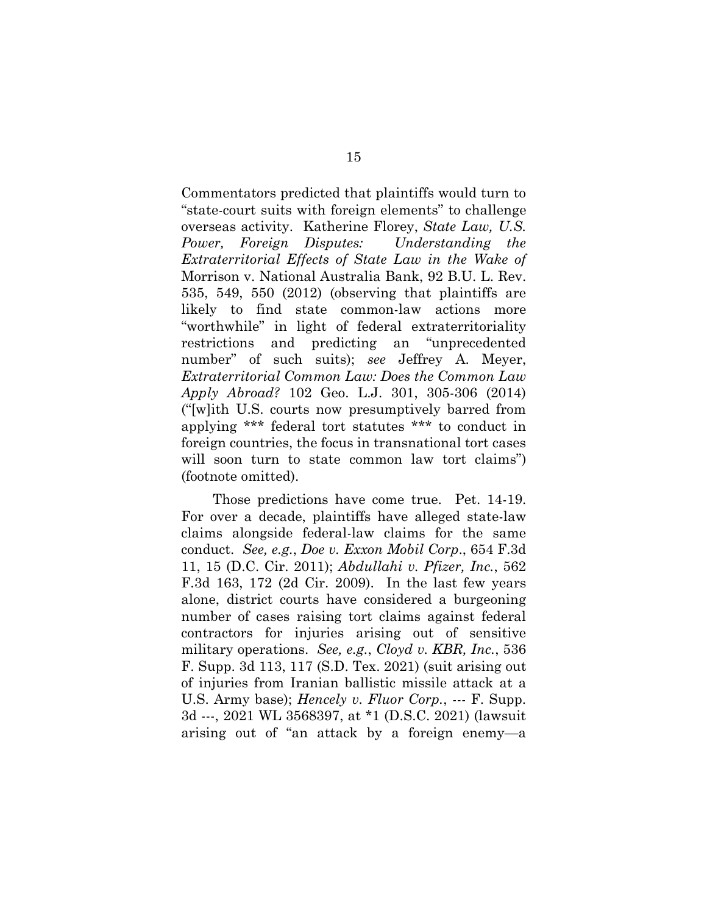Commentators predicted that plaintiffs would turn to "state-court suits with foreign elements" to challenge overseas activity. Katherine Florey, *State Law, U.S. Power, Foreign Disputes: Understanding the Extraterritorial Effects of State Law in the Wake of*  Morrison v. National Australia Bank, 92 B.U. L. Rev. 535, 549, 550 (2012) (observing that plaintiffs are likely to find state common-law actions more "worthwhile" in light of federal extraterritoriality restrictions and predicting an "unprecedented number" of such suits); *see* Jeffrey A. Meyer, *Extraterritorial Common Law: Does the Common Law Apply Abroad?* 102 Geo. L.J. 301, 305-306 (2014) ("[w]ith U.S. courts now presumptively barred from applying \*\*\* federal tort statutes \*\*\* to conduct in foreign countries, the focus in transnational tort cases will soon turn to state common law tort claims" (footnote omitted).

Those predictions have come true. Pet. 14-19. For over a decade, plaintiffs have alleged state-law claims alongside federal-law claims for the same conduct. *See, e.g.*, *Doe v. Exxon Mobil Corp*., 654 F.3d 11, 15 (D.C. Cir. 2011); *Abdullahi v. Pfizer, Inc.*, 562 F.3d 163, 172 (2d Cir. 2009). In the last few years alone, district courts have considered a burgeoning number of cases raising tort claims against federal contractors for injuries arising out of sensitive military operations. *See, e.g.*, *Cloyd v. KBR, Inc.*, 536 F. Supp. 3d 113, 117 (S.D. Tex. 2021) (suit arising out of injuries from Iranian ballistic missile attack at a U.S. Army base); *Hencely v. Fluor Corp.*, --- F. Supp. 3d ---, 2021 WL 3568397, at \*1 (D.S.C. 2021) (lawsuit arising out of "an attack by a foreign enemy—a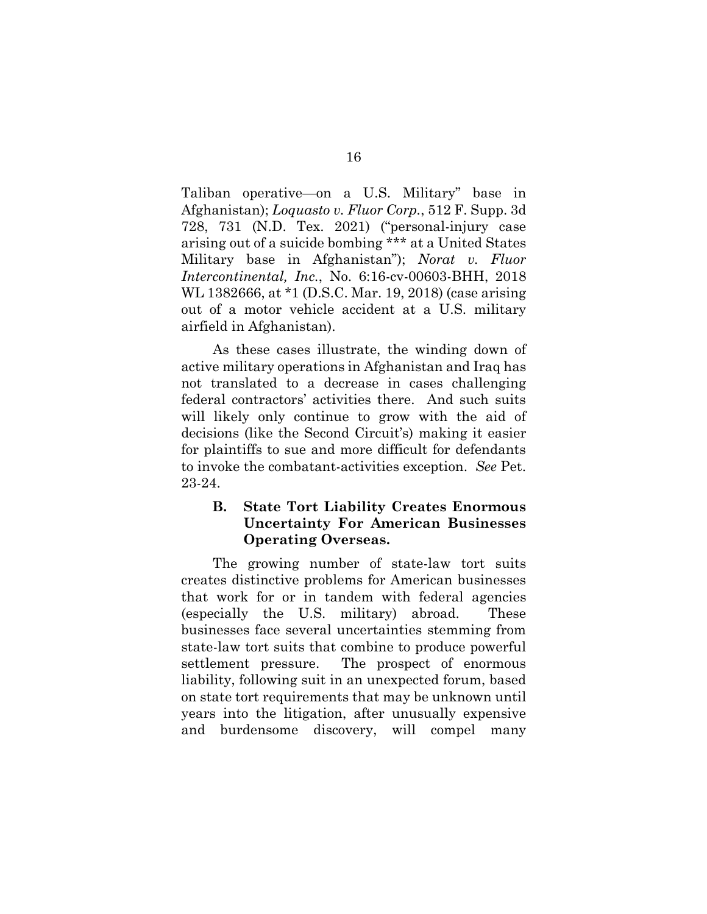Taliban operative—on a U.S. Military" base in Afghanistan); *Loquasto v. Fluor Corp.*, 512 F. Supp. 3d 728, 731 (N.D. Tex. 2021) ("personal-injury case arising out of a suicide bombing \*\*\* at a United States Military base in Afghanistan"); *Norat v. Fluor Intercontinental, Inc.*, No. 6:16-cv-00603-BHH, 2018 WL 1382666, at \*1 (D.S.C. Mar. 19, 2018) (case arising out of a motor vehicle accident at a U.S. military airfield in Afghanistan).

As these cases illustrate, the winding down of active military operations in Afghanistan and Iraq has not translated to a decrease in cases challenging federal contractors' activities there. And such suits will likely only continue to grow with the aid of decisions (like the Second Circuit's) making it easier for plaintiffs to sue and more difficult for defendants to invoke the combatant-activities exception. *See* Pet. 23-24.

## **B. State Tort Liability Creates Enormous Uncertainty For American Businesses Operating Overseas.**

The growing number of state-law tort suits creates distinctive problems for American businesses that work for or in tandem with federal agencies (especially the U.S. military) abroad. These businesses face several uncertainties stemming from state-law tort suits that combine to produce powerful settlement pressure. The prospect of enormous liability, following suit in an unexpected forum, based on state tort requirements that may be unknown until years into the litigation, after unusually expensive and burdensome discovery, will compel many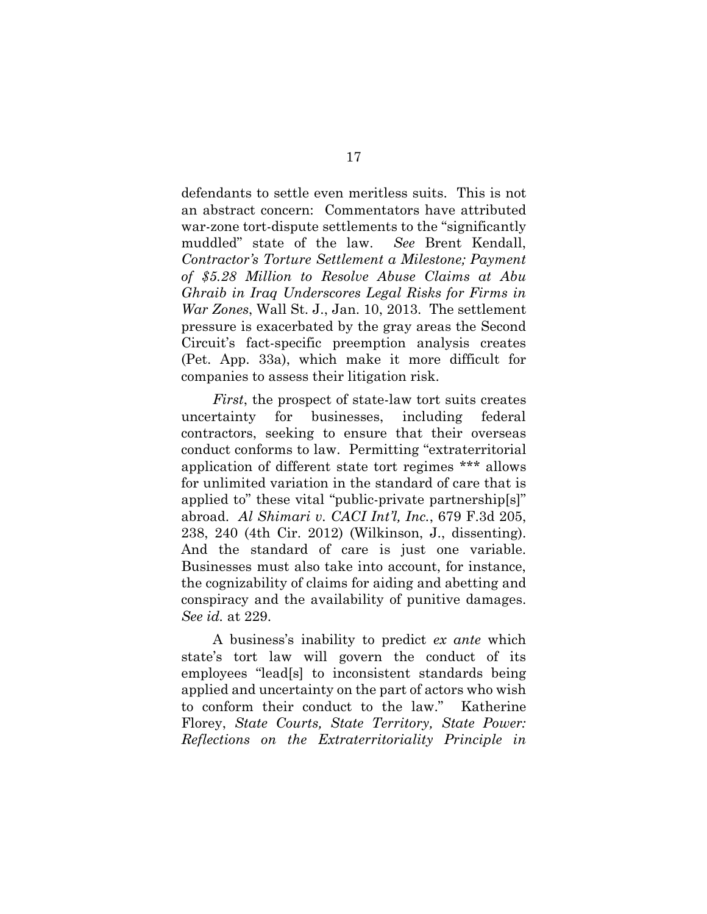defendants to settle even meritless suits. This is not an abstract concern: Commentators have attributed war-zone tort-dispute settlements to the "significantly muddled" state of the law. *See* Brent Kendall, *Contractor's Torture Settlement a Milestone; Payment of \$5.28 Million to Resolve Abuse Claims at Abu Ghraib in Iraq Underscores Legal Risks for Firms in War Zones*, Wall St. J., Jan. 10, 2013. The settlement pressure is exacerbated by the gray areas the Second Circuit's fact-specific preemption analysis creates (Pet. App. 33a), which make it more difficult for companies to assess their litigation risk.

*First*, the prospect of state-law tort suits creates uncertainty for businesses, including federal contractors, seeking to ensure that their overseas conduct conforms to law. Permitting "extraterritorial application of different state tort regimes \*\*\* allows for unlimited variation in the standard of care that is applied to" these vital "public-private partnership[s]" abroad. *Al Shimari v. CACI Int'l, Inc.*, 679 F.3d 205, 238, 240 (4th Cir. 2012) (Wilkinson, J., dissenting). And the standard of care is just one variable. Businesses must also take into account, for instance, the cognizability of claims for aiding and abetting and conspiracy and the availability of punitive damages. *See id.* at 229.

A business's inability to predict *ex ante* which state's tort law will govern the conduct of its employees "lead[s] to inconsistent standards being applied and uncertainty on the part of actors who wish to conform their conduct to the law." Katherine Florey, *State Courts, State Territory, State Power: Reflections on the Extraterritoriality Principle in*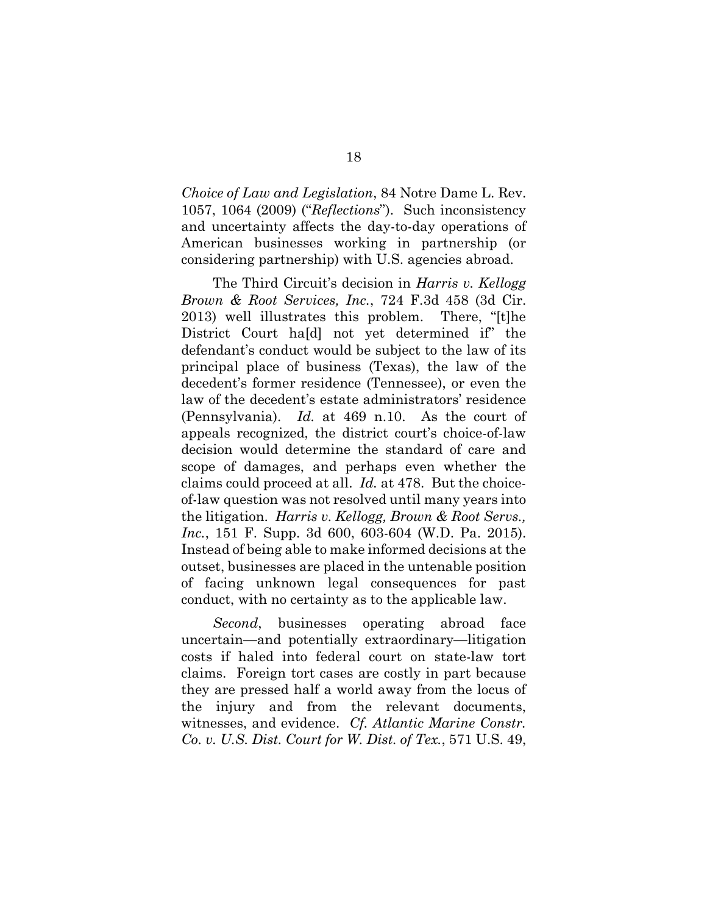*Choice of Law and Legislation*, 84 Notre Dame L. Rev. 1057, 1064 (2009) ("*Reflections*"). Such inconsistency and uncertainty affects the day-to-day operations of American businesses working in partnership (or considering partnership) with U.S. agencies abroad.

The Third Circuit's decision in *Harris v. Kellogg Brown & Root Services, Inc.*, 724 F.3d 458 (3d Cir. 2013) well illustrates this problem. There, "[t]he District Court ha[d] not yet determined if" the defendant's conduct would be subject to the law of its principal place of business (Texas), the law of the decedent's former residence (Tennessee), or even the law of the decedent's estate administrators' residence (Pennsylvania). *Id.* at 469 n.10. As the court of appeals recognized, the district court's choice-of-law decision would determine the standard of care and scope of damages, and perhaps even whether the claims could proceed at all. *Id.* at 478. But the choiceof-law question was not resolved until many years into the litigation. *Harris v. Kellogg, Brown & Root Servs., Inc.*, 151 F. Supp. 3d 600, 603-604 (W.D. Pa. 2015). Instead of being able to make informed decisions at the outset, businesses are placed in the untenable position of facing unknown legal consequences for past conduct, with no certainty as to the applicable law.

*Second*, businesses operating abroad face uncertain—and potentially extraordinary—litigation costs if haled into federal court on state-law tort claims. Foreign tort cases are costly in part because they are pressed half a world away from the locus of the injury and from the relevant documents, witnesses, and evidence. *Cf. Atlantic Marine Constr. Co. v. U.S. Dist. Court for W. Dist. of Tex.*, 571 U.S. 49,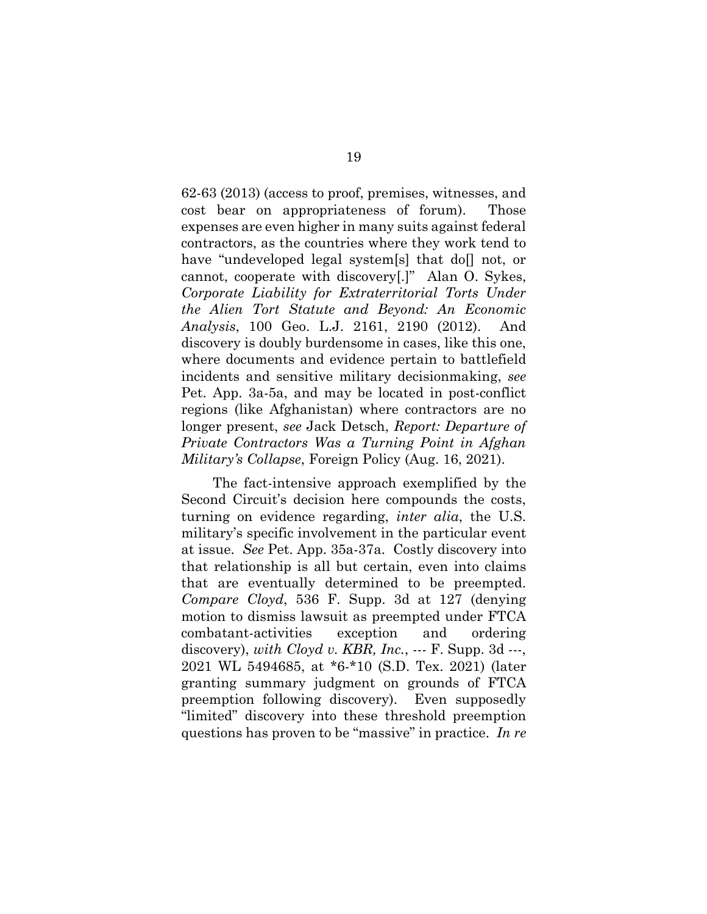62-63 (2013) (access to proof, premises, witnesses, and cost bear on appropriateness of forum). Those expenses are even higher in many suits against federal contractors, as the countries where they work tend to have "undeveloped legal system[s] that do[] not, or cannot, cooperate with discovery[.]" Alan O. Sykes, *Corporate Liability for Extraterritorial Torts Under the Alien Tort Statute and Beyond: An Economic Analysis*, 100 Geo. L.J. 2161, 2190 (2012). And discovery is doubly burdensome in cases, like this one, where documents and evidence pertain to battlefield incidents and sensitive military decisionmaking, *see* Pet. App. 3a-5a, and may be located in post-conflict regions (like Afghanistan) where contractors are no longer present, *see* Jack Detsch, *Report: Departure of Private Contractors Was a Turning Point in Afghan Military's Collapse*, Foreign Policy (Aug. 16, 2021).

The fact-intensive approach exemplified by the Second Circuit's decision here compounds the costs, turning on evidence regarding, *inter alia*, the U.S. military's specific involvement in the particular event at issue. *See* Pet. App. 35a-37a. Costly discovery into that relationship is all but certain, even into claims that are eventually determined to be preempted. *Compare Cloyd*, 536 F. Supp. 3d at 127 (denying motion to dismiss lawsuit as preempted under FTCA combatant-activities exception and ordering discovery), *with Cloyd v. KBR, Inc.*, --- F. Supp. 3d ---, 2021 WL 5494685, at \*6-\*10 (S.D. Tex. 2021) (later granting summary judgment on grounds of FTCA preemption following discovery). Even supposedly "limited" discovery into these threshold preemption questions has proven to be "massive" in practice. *In re*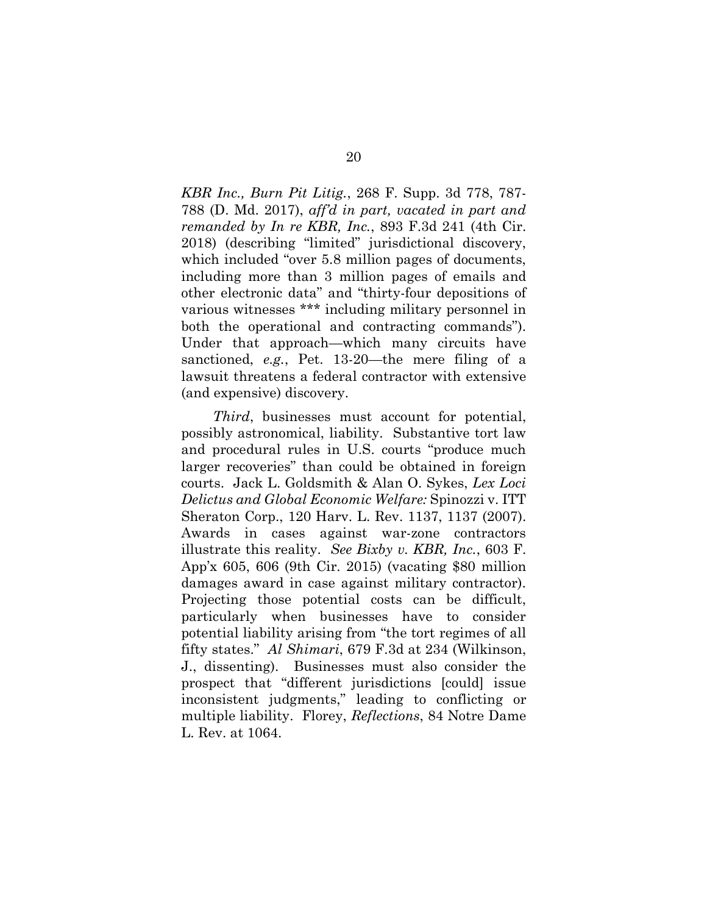*KBR Inc., Burn Pit Litig.*, 268 F. Supp. 3d 778, 787- 788 (D. Md. 2017), *aff'd in part, vacated in part and remanded by In re KBR, Inc.*, 893 F.3d 241 (4th Cir. 2018) (describing "limited" jurisdictional discovery, which included "over 5.8 million pages of documents, including more than 3 million pages of emails and other electronic data" and "thirty-four depositions of various witnesses \*\*\* including military personnel in both the operational and contracting commands"). Under that approach—which many circuits have sanctioned, *e.g.*, Pet. 13-20—the mere filing of a lawsuit threatens a federal contractor with extensive (and expensive) discovery.

*Third*, businesses must account for potential, possibly astronomical, liability. Substantive tort law and procedural rules in U.S. courts "produce much larger recoveries" than could be obtained in foreign courts. Jack L. Goldsmith & Alan O. Sykes, *Lex Loci Delictus and Global Economic Welfare:* Spinozzi v. ITT Sheraton Corp., 120 Harv. L. Rev. 1137, 1137 (2007). Awards in cases against war-zone contractors illustrate this reality. *See Bixby v. KBR, Inc.*, 603 F. App'x 605, 606 (9th Cir. 2015) (vacating \$80 million damages award in case against military contractor). Projecting those potential costs can be difficult, particularly when businesses have to consider potential liability arising from "the tort regimes of all fifty states." *Al Shimari*, 679 F.3d at 234 (Wilkinson, J., dissenting). Businesses must also consider the prospect that "different jurisdictions [could] issue inconsistent judgments," leading to conflicting or multiple liability. Florey, *Reflections*, 84 Notre Dame L. Rev. at 1064.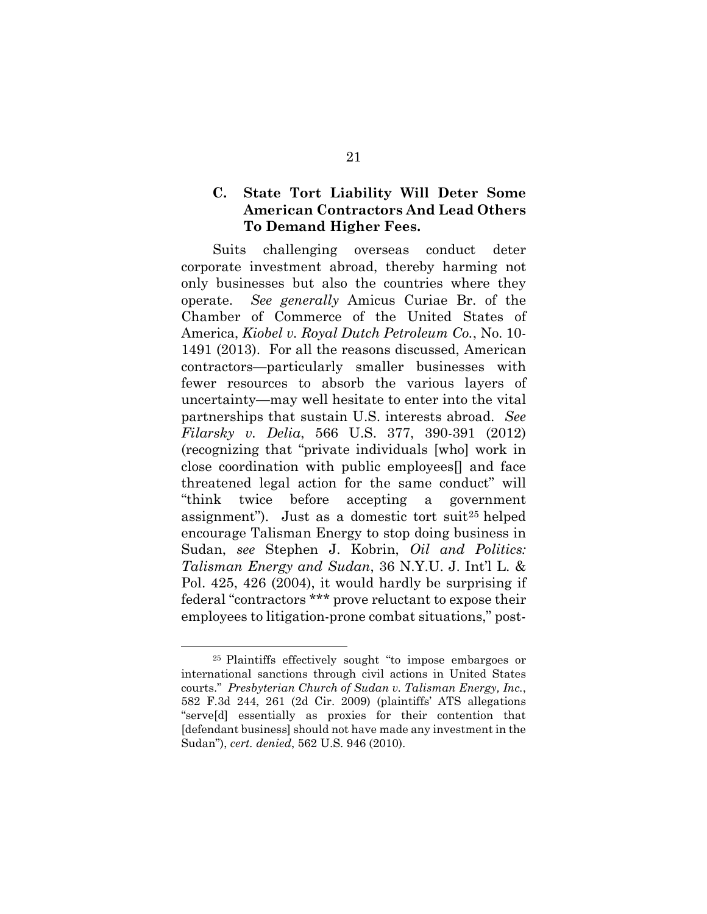## **C. State Tort Liability Will Deter Some American Contractors And Lead Others To Demand Higher Fees.**

Suits challenging overseas conduct deter corporate investment abroad, thereby harming not only businesses but also the countries where they operate. *See generally* Amicus Curiae Br. of the Chamber of Commerce of the United States of America, *Kiobel v. Royal Dutch Petroleum Co.*, No. 10- 1491 (2013). For all the reasons discussed, American contractors—particularly smaller businesses with fewer resources to absorb the various layers of uncertainty—may well hesitate to enter into the vital partnerships that sustain U.S. interests abroad. *See Filarsky v. Delia*, 566 U.S. 377, 390-391 (2012) (recognizing that "private individuals [who] work in close coordination with public employees[] and face threatened legal action for the same conduct" will "think twice before accepting a government assignment"). Just as a domestic tort suit25 helped encourage Talisman Energy to stop doing business in Sudan, *see* Stephen J. Kobrin, *Oil and Politics: Talisman Energy and Sudan*, 36 N.Y.U. J. Int'l L. & Pol. 425, 426 (2004), it would hardly be surprising if federal "contractors \*\*\* prove reluctant to expose their employees to litigation-prone combat situations," post-

<sup>25</sup> Plaintiffs effectively sought "to impose embargoes or international sanctions through civil actions in United States courts." *Presbyterian Church of Sudan v. Talisman Energy, Inc.*, 582 F.3d 244, 261 (2d Cir. 2009) (plaintiffs' ATS allegations "serve[d] essentially as proxies for their contention that [defendant business] should not have made any investment in the Sudan"), *cert. denied*, 562 U.S. 946 (2010).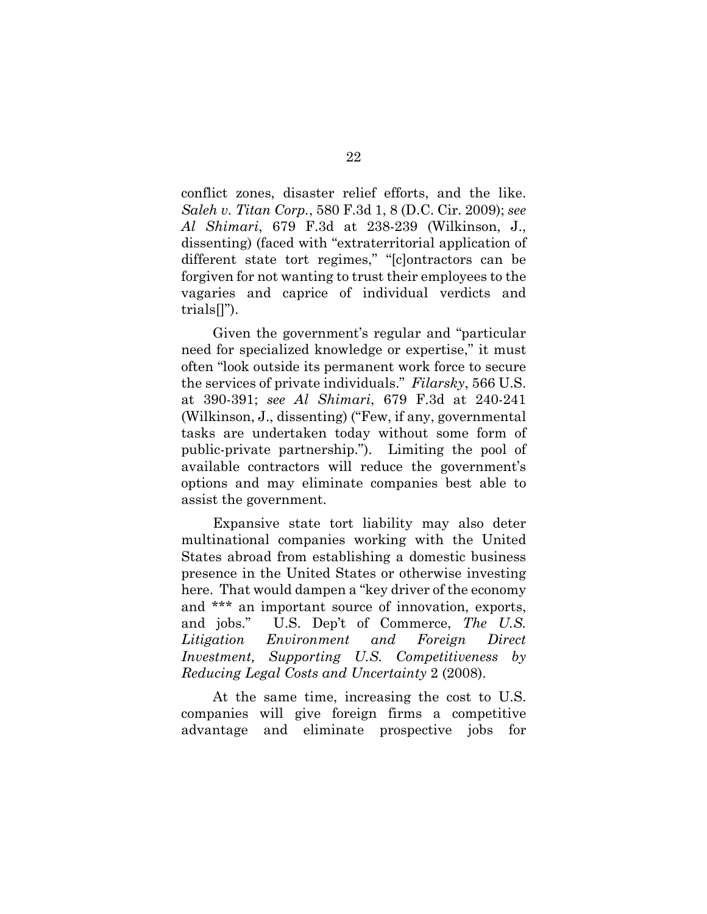conflict zones, disaster relief efforts, and the like. *Saleh v. Titan Corp.*, 580 F.3d 1, 8 (D.C. Cir. 2009); *see Al Shimari*, 679 F.3d at 238-239 (Wilkinson, J., dissenting) (faced with "extraterritorial application of different state tort regimes," "[c]ontractors can be forgiven for not wanting to trust their employees to the vagaries and caprice of individual verdicts and trials[]").

Given the government's regular and "particular need for specialized knowledge or expertise," it must often "look outside its permanent work force to secure the services of private individuals." *Filarsky*, 566 U.S. at 390-391; *see Al Shimari*, 679 F.3d at 240-241 (Wilkinson, J., dissenting) ("Few, if any, governmental tasks are undertaken today without some form of public-private partnership."). Limiting the pool of available contractors will reduce the government's options and may eliminate companies best able to assist the government.

Expansive state tort liability may also deter multinational companies working with the United States abroad from establishing a domestic business presence in the United States or otherwise investing here. That would dampen a "key driver of the economy and \*\*\* an important source of innovation, exports, and jobs." U.S. Dep't of Commerce, *The U.S. Litigation Environment and Foreign Direct Investment, Supporting U.S. Competitiveness by Reducing Legal Costs and Uncertainty* 2 (2008).

At the same time, increasing the cost to U.S. companies will give foreign firms a competitive advantage and eliminate prospective jobs for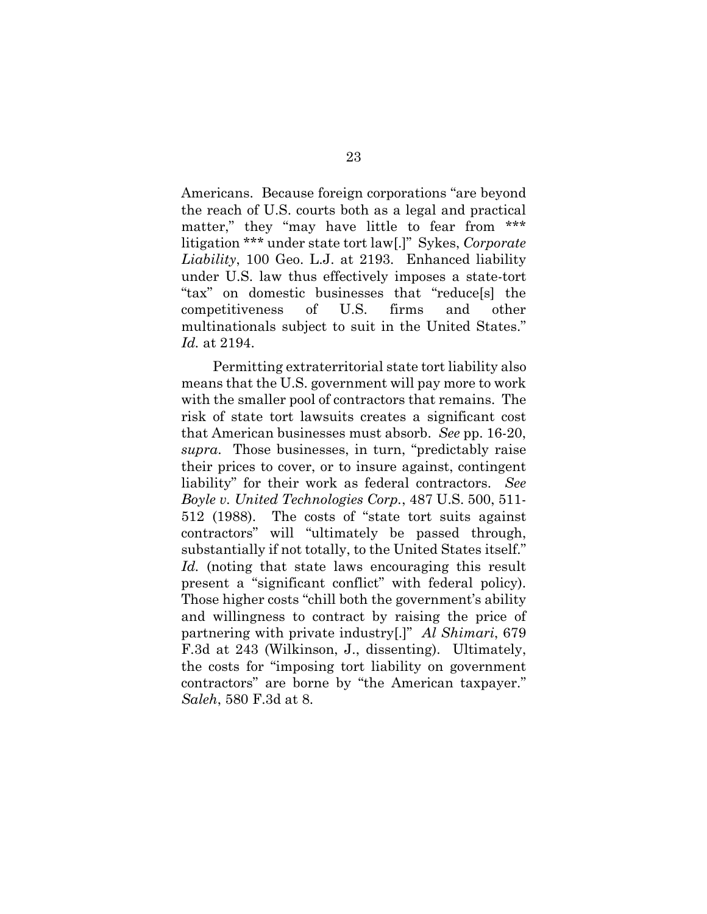Americans. Because foreign corporations "are beyond the reach of U.S. courts both as a legal and practical matter," they "may have little to fear from \*\*\* litigation \*\*\* under state tort law[.]" Sykes, *Corporate Liability*, 100 Geo. L.J. at 2193. Enhanced liability under U.S. law thus effectively imposes a state-tort "tax" on domestic businesses that "reduce[s] the competitiveness of U.S. firms and other multinationals subject to suit in the United States." *Id.* at 2194.

Permitting extraterritorial state tort liability also means that the U.S. government will pay more to work with the smaller pool of contractors that remains. The risk of state tort lawsuits creates a significant cost that American businesses must absorb. *See* pp. 16-20, *supra*. Those businesses, in turn, "predictably raise their prices to cover, or to insure against, contingent liability" for their work as federal contractors. *See Boyle v. United Technologies Corp.*, 487 U.S. 500, 511- 512 (1988). The costs of "state tort suits against contractors" will "ultimately be passed through, substantially if not totally, to the United States itself." *Id.* (noting that state laws encouraging this result present a "significant conflict" with federal policy). Those higher costs "chill both the government's ability and willingness to contract by raising the price of partnering with private industry[.]" *Al Shimari*, 679 F.3d at 243 (Wilkinson, J., dissenting). Ultimately, the costs for "imposing tort liability on government contractors" are borne by "the American taxpayer." *Saleh*, 580 F.3d at 8.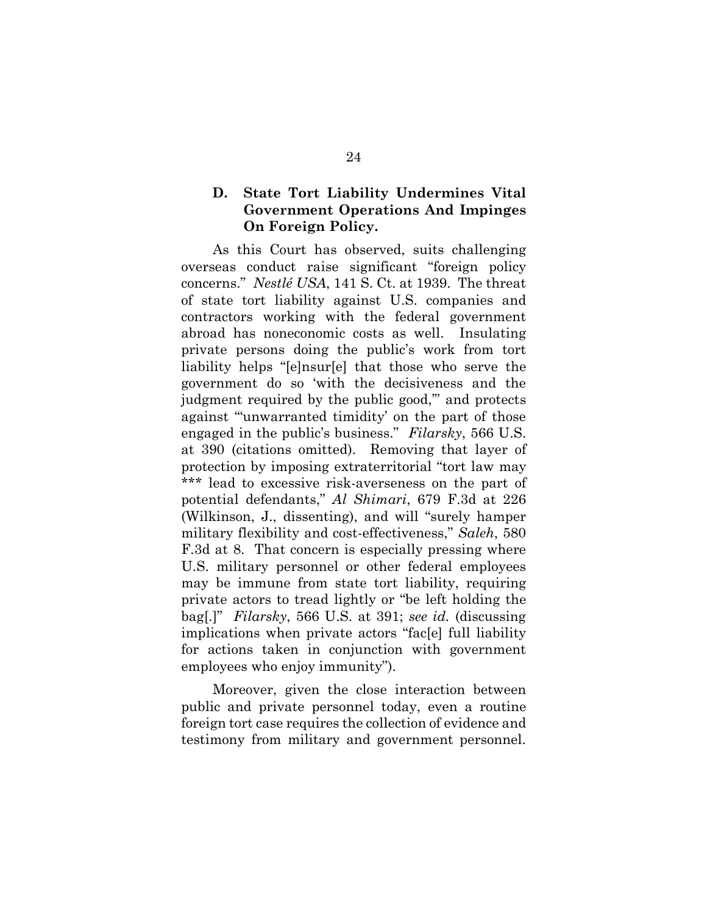## **D. State Tort Liability Undermines Vital Government Operations And Impinges On Foreign Policy.**

As this Court has observed, suits challenging overseas conduct raise significant "foreign policy concerns." *Nestlé USA*, 141 S. Ct. at 1939. The threat of state tort liability against U.S. companies and contractors working with the federal government abroad has noneconomic costs as well. Insulating private persons doing the public's work from tort liability helps "[e]nsur[e] that those who serve the government do so 'with the decisiveness and the judgment required by the public good,'" and protects against "'unwarranted timidity' on the part of those engaged in the public's business." *Filarsky*, 566 U.S. at 390 (citations omitted). Removing that layer of protection by imposing extraterritorial "tort law may \*\*\* lead to excessive risk-averseness on the part of potential defendants," *Al Shimari*, 679 F.3d at 226 (Wilkinson, J., dissenting), and will "surely hamper military flexibility and cost-effectiveness," *Saleh*, 580 F.3d at 8. That concern is especially pressing where U.S. military personnel or other federal employees may be immune from state tort liability, requiring private actors to tread lightly or "be left holding the bag[.]" *Filarsky*, 566 U.S. at 391; *see id.* (discussing implications when private actors "fac[e] full liability for actions taken in conjunction with government employees who enjoy immunity").

Moreover, given the close interaction between public and private personnel today, even a routine foreign tort case requires the collection of evidence and testimony from military and government personnel.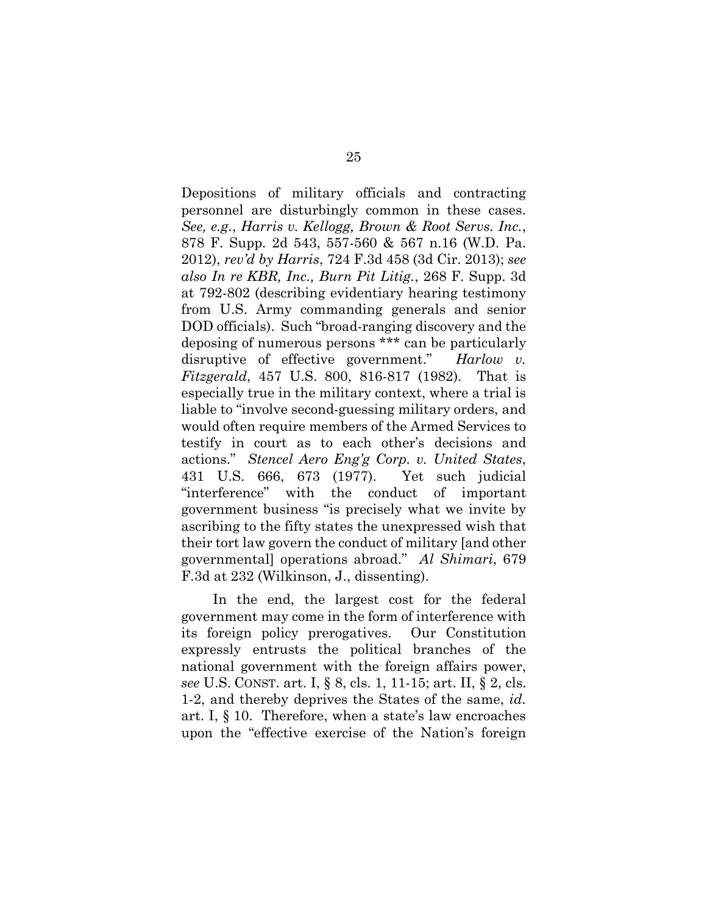Depositions of military officials and contracting personnel are disturbingly common in these cases. *See, e.g.*, *Harris v. Kellogg, Brown & Root Servs. Inc.*, 878 F. Supp. 2d 543, 557-560 & 567 n.16 (W.D. Pa. 2012), *rev'd by Harris*, 724 F.3d 458 (3d Cir. 2013); *see also In re KBR, Inc., Burn Pit Litig.*, 268 F. Supp. 3d at 792-802 (describing evidentiary hearing testimony from U.S. Army commanding generals and senior DOD officials). Such "broad-ranging discovery and the deposing of numerous persons \*\*\* can be particularly disruptive of effective government." *Harlow v. Fitzgerald*, 457 U.S. 800, 816-817 (1982). That is especially true in the military context, where a trial is liable to "involve second-guessing military orders, and would often require members of the Armed Services to testify in court as to each other's decisions and actions." *Stencel Aero Eng'g Corp. v. United States*, 431 U.S. 666, 673 (1977). Yet such judicial "interference" with the conduct of important government business "is precisely what we invite by ascribing to the fifty states the unexpressed wish that their tort law govern the conduct of military [and other governmental] operations abroad." *Al Shimari*, 679 F.3d at 232 (Wilkinson, J., dissenting).

In the end, the largest cost for the federal government may come in the form of interference with its foreign policy prerogatives. Our Constitution expressly entrusts the political branches of the national government with the foreign affairs power, *see* U.S. CONST. art. I, § 8, cls. 1, 11-15; art. II, § 2, cls. 1-2, and thereby deprives the States of the same, *id.* art. I, § 10. Therefore, when a state's law encroaches upon the "effective exercise of the Nation's foreign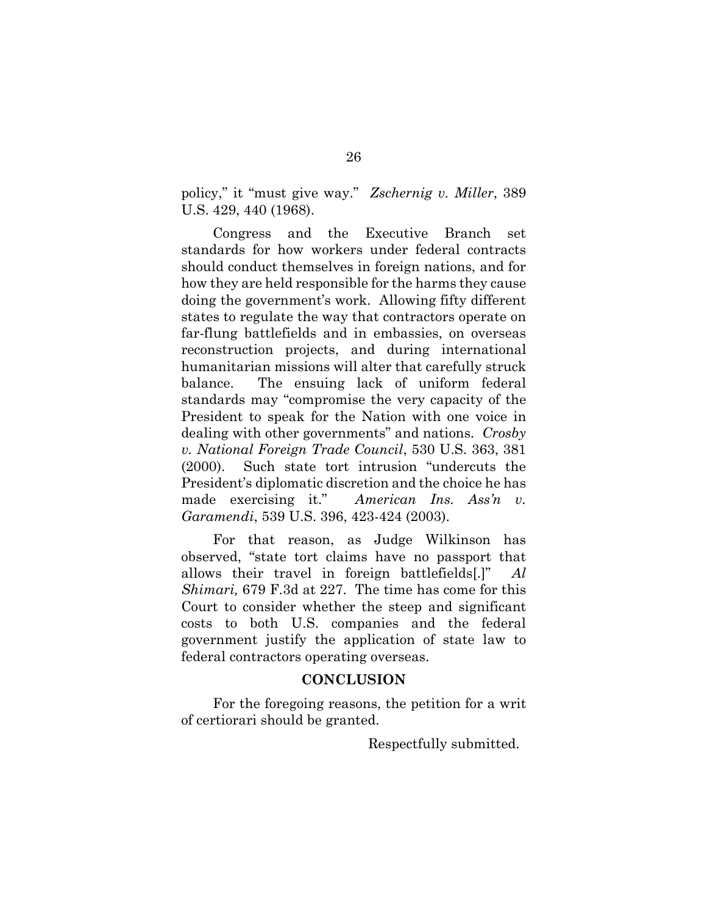policy," it "must give way." *Zschernig v. Miller*, 389 U.S. 429, 440 (1968).

Congress and the Executive Branch set standards for how workers under federal contracts should conduct themselves in foreign nations, and for how they are held responsible for the harms they cause doing the government's work. Allowing fifty different states to regulate the way that contractors operate on far-flung battlefields and in embassies, on overseas reconstruction projects, and during international humanitarian missions will alter that carefully struck balance. The ensuing lack of uniform federal standards may "compromise the very capacity of the President to speak for the Nation with one voice in dealing with other governments" and nations. *Crosby v. National Foreign Trade Council*, 530 U.S. 363, 381 (2000). Such state tort intrusion "undercuts the President's diplomatic discretion and the choice he has made exercising it." *American Ins. Ass'n v. Garamendi*, 539 U.S. 396, 423-424 (2003).

For that reason, as Judge Wilkinson has observed, "state tort claims have no passport that allows their travel in foreign battlefields[.]" *Al Shimari,* 679 F.3d at 227. The time has come for this Court to consider whether the steep and significant costs to both U.S. companies and the federal government justify the application of state law to federal contractors operating overseas.

#### **CONCLUSION**

For the foregoing reasons, the petition for a writ of certiorari should be granted.

Respectfully submitted.